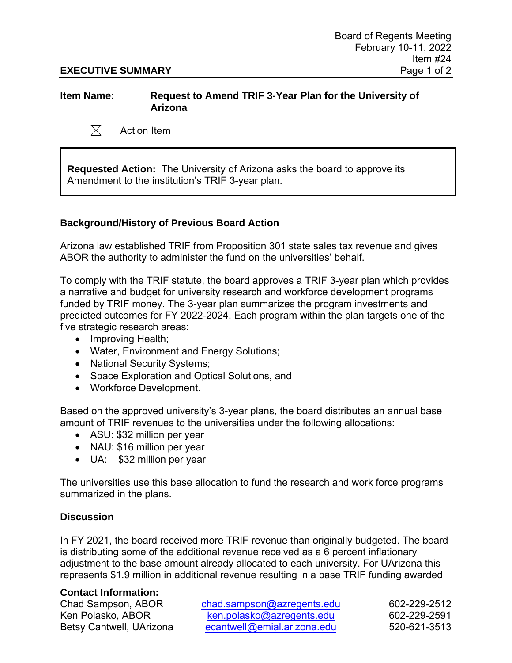## **EXECUTIVE SUMMARY** Page 1 of 2

# **Item Name: Request to Amend TRIF 3-Year Plan for the University of Arizona**

 $\boxtimes$ Action Item

**Requested Action:** The University of Arizona asks the board to approve its Amendment to the institution's TRIF 3-year plan.

# **Background/History of Previous Board Action**

Arizona law established TRIF from Proposition 301 state sales tax revenue and gives ABOR the authority to administer the fund on the universities' behalf.

To comply with the TRIF statute, the board approves a TRIF 3-year plan which provides a narrative and budget for university research and workforce development programs funded by TRIF money. The 3-year plan summarizes the program investments and predicted outcomes for FY 2022-2024. Each program within the plan targets one of the five strategic research areas:

- Improving Health;
- Water, Environment and Energy Solutions;
- National Security Systems;
- Space Exploration and Optical Solutions, and
- Workforce Development.

Based on the approved university's 3-year plans, the board distributes an annual base amount of TRIF revenues to the universities under the following allocations:

- ASU: \$32 million per year
- NAU: \$16 million per year
- UA: \$32 million per year

The universities use this base allocation to fund the research and work force programs summarized in the plans.

# **Discussion**

In FY 2021, the board received more TRIF revenue than originally budgeted. The board is distributing some of the additional revenue received as a 6 percent inflationary adjustment to the base amount already allocated to each university. For UArizona this represents \$1.9 million in additional revenue resulting in a base TRIF funding awarded

## **Contact Information:**

Chad Sampson, ABOR [chad.sampson@azregents.edu](mailto:chad.sampson@azregents.edu) 602-229-2512 Ken Polasko, ABOR [ken.polasko@azregents.edu](mailto:ken.polasko@azregents.edu) 602-229-2591 Betsy Cantwell, UArizona [ecantwell@emial.arizona.edu](mailto:ecantwell@emial.arizona.edu) 520-621-3513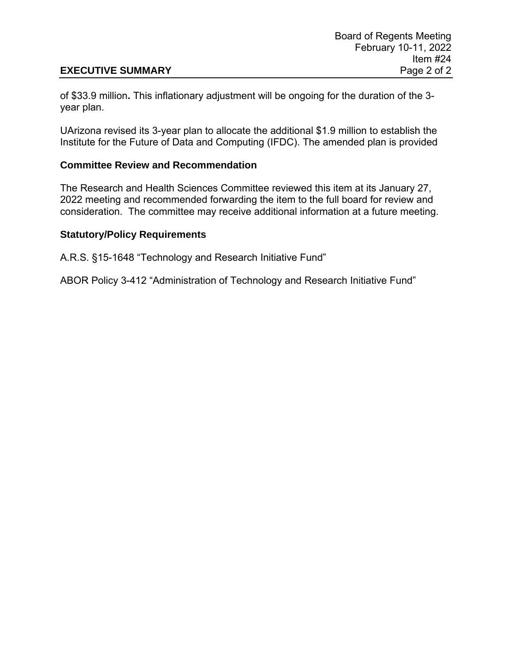# **EXECUTIVE SUMMARY** Page 2 of 2

of \$33.9 million**.** This inflationary adjustment will be ongoing for the duration of the 3 year plan.

UArizona revised its 3-year plan to allocate the additional \$1.9 million to establish the Institute for the Future of Data and Computing (IFDC). The amended plan is provided

## **Committee Review and Recommendation**

The Research and Health Sciences Committee reviewed this item at its January 27, 2022 meeting and recommended forwarding the item to the full board for review and consideration. The committee may receive additional information at a future meeting.

## **Statutory/Policy Requirements**

A.R.S. §15-1648 "Technology and Research Initiative Fund"

ABOR Policy 3-412 "Administration of Technology and Research Initiative Fund"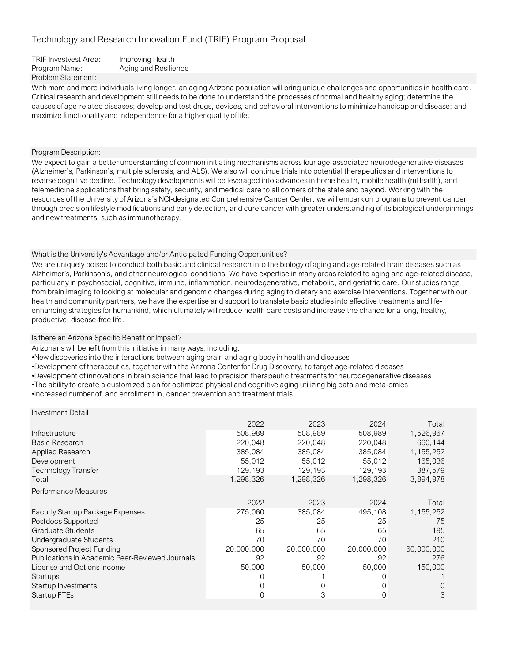| TRIF Investvest Area: | Improving Health     |
|-----------------------|----------------------|
| Program Name:         | Aging and Resilience |
| Problem Statement:    |                      |

With more and more individuals living longer, an aging Arizona population will bring unique challenges and opportunities in health care. Critical research and development still needs to be done to understand the processes of normal and healthy aging; determine the causes of age-related diseases; develop and test drugs, devices, and behavioral interventions to minimize handicap and disease; and maximize functionality and independence for a higher quality of life.

### Program Description:

We expect to gain a better understanding of common initiating mechanisms across four age-associated neurodegenerative diseases (Alzheimer's, Parkinson's, multiple sclerosis, and ALS). We also will continue trials into potential therapeutics and interventions to reverse cognitive decline. Technology developments will be leveraged into advances in home health, mobile health (mHealth), and telemedicine applications that bring safety, security, and medical care to all corners of the state and beyond. Working with the resources of the University of Arizona's NCI-designated Comprehensive Cancer Center, we will embark on programs to prevent cancer through precision lifestyle modifications and early detection, and cure cancer with greater understanding of its biological underpinnings and new treatments, such as immunotherapy.

### What is the University's Advantage and/or Anticipated Funding Opportunities?

We are uniquely poised to conduct both basic and clinical research into the biology of aging and age-related brain diseases such as Alzheimer's, Parkinson's, and other neurological conditions. We have expertise in many areas related to aging and age-related disease, particularly in psychosocial, cognitive, immune, inflammation, neurodegenerative, metabolic, and geriatric care. Our studies range from brain imaging to looking at molecular and genomic changes during aging to dietary and exercise interventions. Together with our health and community partners, we have the expertise and support to translate basic studies into effective treatments and lifeenhancing strategies for humankind, which ultimately will reduce health care costs and increase the chance for a long, healthy, productive, disease-free life.

### Is there an Arizona Specific Benefit or Impact?

Arizonans will benefit from this initiative in many ways, including:

•New discoveries into the interactions between aging brain and aging body in health and diseases

•Development of therapeutics, together with the Arizona Center for Drug Discovery, to target age-related diseases

•Development of innovations in brain science that lead to precision therapeutic treatments for neurodegenerative diseases

•The ability to create a customized plan for optimized physical and cognitive aging utilizing big data and meta-omics

•Increased number of, and enrollment in, cancer prevention and treatment trials

| Investment Detail                               |            |            |            |             |
|-------------------------------------------------|------------|------------|------------|-------------|
|                                                 | 2022       | 2023       | 2024       | Total       |
| Infrastructure                                  | 508.989    | 508,989    | 508,989    | 1,526,967   |
| <b>Basic Research</b>                           | 220,048    | 220,048    | 220,048    | 660,144     |
| Applied Research                                | 385,084    | 385,084    | 385,084    | 1, 155, 252 |
| Development                                     | 55,012     | 55,012     | 55,012     | 165,036     |
| Technology Transfer                             | 129,193    | 129,193    | 129,193    | 387,579     |
| Total                                           | 1,298,326  | 1,298,326  | 1,298,326  | 3,894,978   |
| Performance Measures                            |            |            |            |             |
|                                                 | 2022       | 2023       | 2024       | Total       |
| <b>Faculty Startup Package Expenses</b>         | 275,060    | 385,084    | 495,108    | 1, 155, 252 |
| Postdocs Supported                              | 25         | 25         | 25         | 75          |
| Graduate Students                               | 65         | 65         | 65         | 195         |
| Undergraduate Students                          | 70         | 70         | 70         | 210         |
| Sponsored Project Funding                       | 20,000,000 | 20,000,000 | 20,000,000 | 60,000,000  |
| Publications in Academic Peer-Reviewed Journals | 92         | 92         | 92         | 276         |
| License and Options Income                      | 50,000     | 50,000     | 50,000     | 150,000     |
| <b>Startups</b>                                 |            |            |            |             |
| Startup Investments                             | 0          |            |            |             |
| <b>Startup FTEs</b>                             |            | 3          |            | 3           |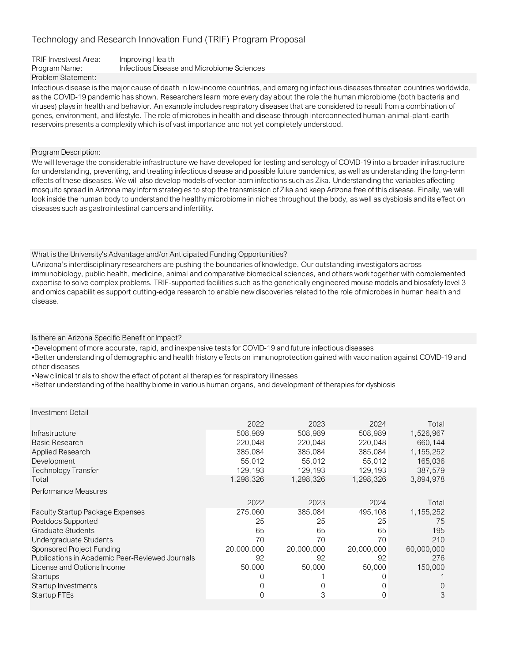| TRIF Investvest Area: | Improving Health                           |
|-----------------------|--------------------------------------------|
| Program Name:         | Infectious Disease and Microbiome Sciences |
| Problem Statement:    |                                            |

Infectious disease is the major cause of death in low-income countries, and emerging infectious diseases threaten countries worldwide, as the COVID-19 pandemic has shown. Researchers learn more every day about the role the human microbiome (both bacteria and viruses) plays in health and behavior. An example includes respiratory diseases that are considered to result from a combination of genes, environment, and lifestyle. The role of microbes in health and disease through interconnected human-animal-plant-earth reservoirs presents a complexity which is of vast importance and not yet completely understood.

Program Description:

Investment Detail

We will leverage the considerable infrastructure we have developed for testing and serology of COVID-19 into a broader infrastructure for understanding, preventing, and treating infectious disease and possible future pandemics, as well as understanding the long-term effects of these diseases. We will also develop models of vector-born infections such as Zika. Understanding the variables affecting mosquito spread in Arizona may inform strategies to stop the transmission of Zika and keep Arizona free of this disease. Finally, we will look inside the human body to understand the healthy microbiome in niches throughout the body, as well as dysbiosis and its effect on diseases such as gastrointestinal cancers and infertility.

## What is the University's Advantage and/or Anticipated Funding Opportunities?

UArizona's interdisciplinary researchers are pushing the boundaries of knowledge. Our outstanding investigators across immunobiology, public health, medicine, animal and comparative biomedical sciences, and others work together with complemented expertise to solve complex problems. TRIF-supported facilities such as the genetically engineered mouse models and biosafety level 3 and omics capabilities support cutting-edge research to enable new discoveries related to the role of microbes in human health and disease.

Is there an Arizona Specific Benefit or Impact?

•Development of more accurate, rapid, and inexpensive tests for COVID-19 and future infectious diseases

•Better understanding of demographic and health history effects on immunoprotection gained with vaccination against COVID-19 and other diseases

•New clinical trials to show the effect of potential therapies for respiratory illnesses

•Better understanding of the healthy biome in various human organs, and development of therapies for dysbiosis

| investment Detail                               |            |            |            |             |
|-------------------------------------------------|------------|------------|------------|-------------|
|                                                 | 2022       | 2023       | 2024       | Total       |
| Infrastructure                                  | 508,989    | 508,989    | 508,989    | 1,526,967   |
| <b>Basic Research</b>                           | 220,048    | 220,048    | 220,048    | 660,144     |
| <b>Applied Research</b>                         | 385,084    | 385,084    | 385,084    | 1, 155, 252 |
| Development                                     | 55,012     | 55,012     | 55,012     | 165,036     |
| <b>Technology Transfer</b>                      | 129.193    | 129,193    | 129,193    | 387,579     |
| Total                                           | 1,298,326  | 1,298,326  | 1,298,326  | 3,894,978   |
| Performance Measures                            |            |            |            |             |
|                                                 | 2022       | 2023       | 2024       | Total       |
| <b>Faculty Startup Package Expenses</b>         | 275,060    | 385,084    | 495,108    | 1, 155, 252 |
| Postdocs Supported                              | 25         | 25         | 25         | 75          |
| Graduate Students                               | 65         | 65         | 65         | 195         |
| Undergraduate Students                          | 70         | 70         | 70         | 210         |
| Sponsored Project Funding                       | 20,000,000 | 20,000,000 | 20,000,000 | 60,000,000  |
| Publications in Academic Peer-Reviewed Journals | 92         | 92         | 92         | 276         |
| License and Options Income                      | 50,000     | 50,000     | 50,000     | 150,000     |
| Startups                                        |            |            |            |             |
| Startup Investments                             |            |            | $\Omega$   |             |
| Startup FTEs                                    |            | 3          | 0          | 3           |
|                                                 |            |            |            |             |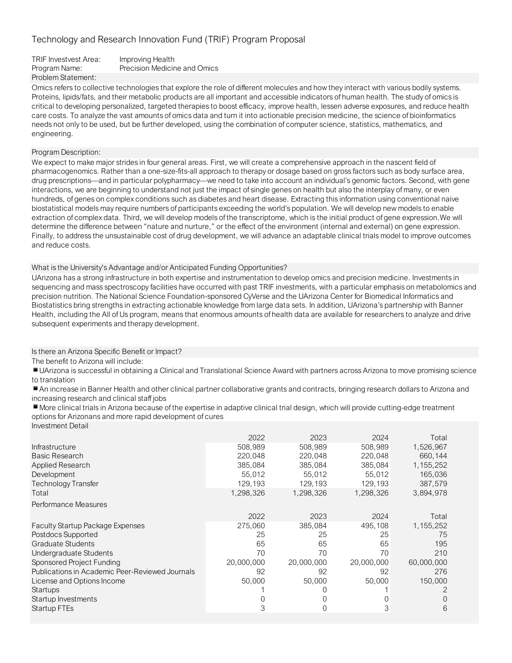| TRIF Investvest Area: | Improving Health             |
|-----------------------|------------------------------|
| Program Name:         | Precision Medicine and Omics |
| Problem Statement:    |                              |

Omics refers to collective technologies that explore the role of different molecules and how they interact with various bodily systems. Proteins, lipids/fats, and their metabolic products are all important and accessible indicators of human health. The study of omics is critical to developing personalized, targeted therapies to boost efficacy, improve health, lessen adverse exposures, and reduce health care costs. To analyze the vast amounts of omics data and turn it into actionable precision medicine, the science of bioinformatics needs not only to be used, but be further developed, using the combination of computer science, statistics, mathematics, and engineering.

### Program Description:

We expect to make major strides in four general areas. First, we will create a comprehensive approach in the nascent field of pharmacogenomics. Rather than a one-size-fits-all approach to therapy or dosage based on gross factors such as body surface area, drug prescriptions—and in particular polypharmacy—we need to take into account an individual's genomic factors. Second, with gene interactions, we are beginning to understand not just the impact of single genes on health but also the interplay of many, or even hundreds, of genes on complex conditions such as diabetes and heart disease. Extracting this information using conventional naive biostatistical models may require numbers of participants exceeding the world's population. We will develop new models to enable extraction of complex data. Third, we will develop models of the transcriptome, which is the initial product of gene expression.We will determine the difference between "nature and nurture," or the effect of the environment (internal and external) on gene expression. Finally, to address the unsustainable cost of drug development, we will advance an adaptable clinical trials model to improve outcomes and reduce costs.

What is the University's Advantage and/or Anticipated Funding Opportunities?

UArizona has a strong infrastructure in both expertise and instrumentation to develop omics and precision medicine. Investments in sequencing and mass spectroscopy facilities have occurred with past TRIF investments, with a particular emphasis on metabolomics and precision nutrition. The National Science Foundation-sponsored CyVerse and the UArizona Center for Biomedical Informatics and Biostatistics bring strengths in extracting actionable knowledge from large data sets. In addition, UArizona's partnership with Banner Health, including the All of Us program, means that enormous amounts of health data are available for researchers to analyze and drive subsequent experiments and therapy development.

Is there an Arizona Specific Benefit or Impact?

The benefit to Arizona will include:

■ UArizona is successful in obtaining a Clinical and Translational Science Award with partners across Arizona to move promising science to translation

▪An increase in Banner Health and other clinical partner collaborative grants and contracts, bringing research dollars to Arizona and increasing research and clinical staff jobs

■ More clinical trials in Arizona because of the expertise in adaptive clinical trial design, which will provide cutting-edge treatment options for Arizonans and more rapid development of cures Investment Detail

| <b>ILIVUOLITULIL DULAII</b>                     |            |            |            |             |
|-------------------------------------------------|------------|------------|------------|-------------|
|                                                 | 2022       | 2023       | 2024       | Total       |
| Infrastructure                                  | 508.989    | 508,989    | 508.989    | 1,526,967   |
| <b>Basic Research</b>                           | 220,048    | 220,048    | 220,048    | 660,144     |
| <b>Applied Research</b>                         | 385,084    | 385,084    | 385,084    | 1,155,252   |
| Development                                     | 55,012     | 55,012     | 55,012     | 165,036     |
| Technology Transfer                             | 129,193    | 129,193    | 129,193    | 387,579     |
| Total                                           | 1,298,326  | 1,298,326  | 1,298,326  | 3,894,978   |
| Performance Measures                            |            |            |            |             |
|                                                 | 2022       | 2023       | 2024       | Total       |
| <b>Faculty Startup Package Expenses</b>         | 275,060    | 385,084    | 495,108    | 1, 155, 252 |
| Postdocs Supported                              | 25         | 25         | 25         | 75          |
| Graduate Students                               | 65         | 65         | 65         | 195         |
| Undergraduate Students                          | 70         | 70         | 70         | 210         |
| Sponsored Project Funding                       | 20,000,000 | 20,000,000 | 20,000,000 | 60,000,000  |
| Publications in Academic Peer-Reviewed Journals | 92         | 92         | 92         | 276         |
| License and Options Income                      | 50,000     | 50,000     | 50,000     | 150,000     |
| Startups                                        |            |            |            |             |
| Startup Investments                             |            |            |            |             |
| Startup FTEs                                    | 3          |            | 3          | 6           |
|                                                 |            |            |            |             |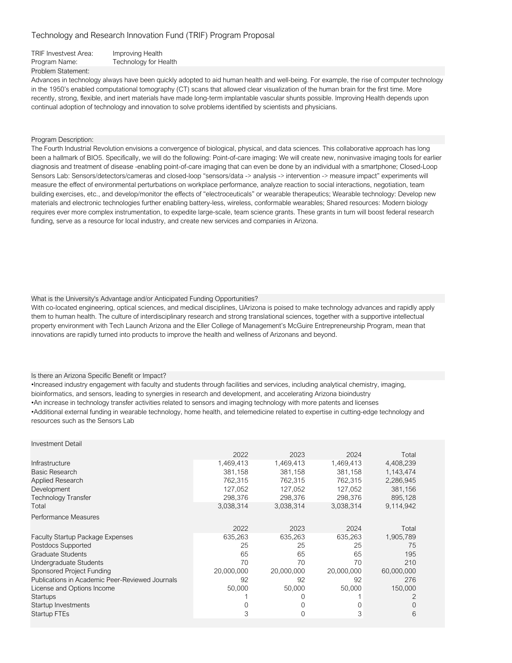| <b>TRIF Investvest Area:</b> | Improving Health             |
|------------------------------|------------------------------|
| Program Name:                | <b>Technology for Health</b> |
| Problem Statement:           |                              |

Advances in technology always have been quickly adopted to aid human health and well-being. For example, the rise of computer technology in the 1950's enabled computational tomography (CT) scans that allowed clear visualization of the human brain for the first time. More recently, strong, flexible, and inert materials have made long-term implantable vascular shunts possible. Improving Health depends upon continual adoption of technology and innovation to solve problems identified by scientists and physicians.

#### Program Description:

The Fourth Industrial Revolution envisions a convergence of biological, physical, and data sciences. This collaborative approach has long been a hallmark of BIO5. Specifically, we will do the following: Point-of-care imaging: We will create new, noninvasive imaging tools for earlier diagnosis and treatment of disease -enabling point-of-care imaging that can even be done by an individual with a smartphone; Closed-Loop Sensors Lab: Sensors/detectors/cameras and closed-loop "sensors/data -> analysis -> intervention -> measure impact" experiments will measure the effect of environmental perturbations on workplace performance, analyze reaction to social interactions, negotiation, team building exercises, etc., and develop/monitor the effects of "electroceuticals" or wearable therapeutics; Wearable technology: Develop new materials and electronic technologies further enabling battery-less, wireless, conformable wearables; Shared resources: Modern biology requires ever more complex instrumentation, to expedite large-scale, team science grants. These grants in turn will boost federal research funding, serve as a resource for local industry, and create new services and companies in Arizona.

#### What is the University's Advantage and/or Anticipated Funding Opportunities?

With co-located engineering, optical sciences, and medical disciplines, UArizona is poised to make technology advances and rapidly apply them to human health. The culture of interdisciplinary research and strong translational sciences, together with a supportive intellectual property environment with Tech Launch Arizona and the Eller College of Management's McGuire Entrepreneurship Program, mean that innovations are rapidly turned into products to improve the health and wellness of Arizonans and beyond.

#### Is there an Arizona Specific Benefit or Impact?

•Increased industry engagement with faculty and students through facilities and services, including analytical chemistry, imaging, bioinformatics, and sensors, leading to synergies in research and development, and accelerating Arizona bioindustry •An increase in technology transfer activities related to sensors and imaging technology with more patents and licenses •Additional external funding in wearable technology, home health, and telemedicine related to expertise in cutting-edge technology and resources such as the Sensors Lab

| <b>Investment Detail</b>                        |            |            |            |             |
|-------------------------------------------------|------------|------------|------------|-------------|
|                                                 | 2022       | 2023       | 2024       | Total       |
| Infrastructure                                  | 1,469,413  | 1,469,413  | 1,469,413  | 4,408,239   |
| Basic Research                                  | 381,158    | 381,158    | 381,158    | 1,143,474   |
| Applied Research                                | 762,315    | 762,315    | 762,315    | 2,286,945   |
| Development                                     | 127,052    | 127,052    | 127,052    | 381,156     |
| Technology Transfer                             | 298,376    | 298,376    | 298,376    | 895,128     |
| Total                                           | 3,038,314  | 3,038,314  | 3,038,314  | 9,114,942   |
| Performance Measures                            |            |            |            |             |
|                                                 | 2022       | 2023       | 2024       | Total       |
| <b>Faculty Startup Package Expenses</b>         | 635,263    | 635,263    | 635,263    | 1,905,789   |
| Postdocs Supported                              | 25         | 25         | 25         | 75          |
| <b>Graduate Students</b>                        | 65         | 65         | 65         | 195         |
| Undergraduate Students                          | 70         | 70         | 70         | 210         |
| Sponsored Project Funding                       | 20,000,000 | 20,000,000 | 20,000,000 | 60,000,000  |
| Publications in Academic Peer-Reviewed Journals | 92         | 92         | 92         | 276         |
| License and Options Income                      | 50,000     | 50,000     | 50,000     | 150,000     |
| <b>Startups</b>                                 |            |            |            | 2           |
| Startup Investments                             |            | 0          | 0          | $\mathbf 0$ |
| Startup FTEs                                    | 3          |            | 3          | 6           |
|                                                 |            |            |            |             |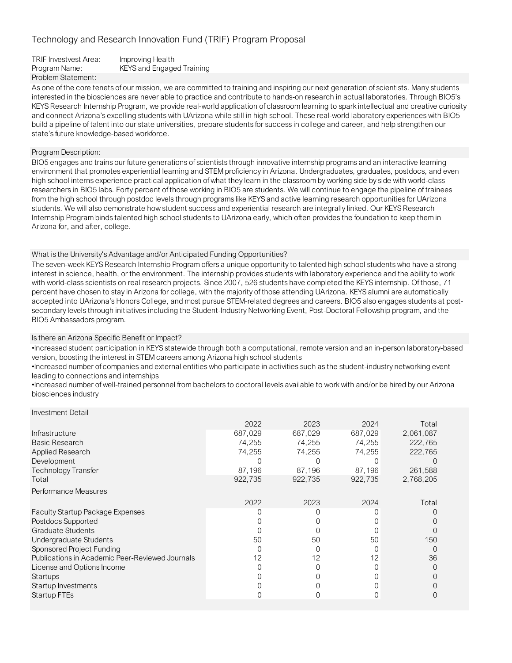| TRIF Investvest Area: | Improving Health                 |
|-----------------------|----------------------------------|
| Program Name:         | <b>KEYS and Engaged Training</b> |
| Problem Statement:    |                                  |

As one of the core tenets of our mission, we are committed to training and inspiring our next generation of scientists. Many students interested in the biosciences are never able to practice and contribute to hands-on research in actual laboratories. Through BIO5's KEYS Research Internship Program, we provide real-world application of classroom learning to spark intellectual and creative curiosity and connect Arizona's excelling students with UArizona while still in high school. These real-world laboratory experiences with BIO5 build a pipeline of talent into our state universities, prepare students for success in college and career, and help strengthen our state's future knowledge-based workforce.

## Program Description:

BIO5 engages and trains our future generations of scientists through innovative internship programs and an interactive learning environment that promotes experiential learning and STEM proficiency in Arizona. Undergraduates, graduates, postdocs, and even high school interns experience practical application of what they learn in the classroom by working side by side with world-class researchers in BIO5 labs. Forty percent of those working in BIO5 are students. We will continue to engage the pipeline of trainees from the high school through postdoc levels through programs like KEYS and active learning research opportunities for UArizona students. We will also demonstrate how student success and experiential research are integrally linked. Our KEYS Research Internship Program binds talented high school students to UArizona early, which often provides the foundation to keep them in Arizona for, and after, college.

## What is the University's Advantage and/or Anticipated Funding Opportunities?

The seven-week KEYS Research Internship Program offers a unique opportunity to talented high school students who have a strong interest in science, health, or the environment. The internship provides students with laboratory experience and the ability to work with world-class scientists on real research projects. Since 2007, 526 students have completed the KEYS internship. Of those, 71 percent have chosen to stay in Arizona for college, with the majority of those attending UArizona. KEYS alumni are automatically accepted into UArizona's Honors College, and most pursue STEM-related degrees and careers. BIO5 also engages students at postsecondary levels through initiatives including the Student-Industry Networking Event, Post-Doctoral Fellowship program, and the BIO5 Ambassadors program.

## Is there an Arizona Specific Benefit or Impact?

•Increased student participation in KEYS statewide through both a computational, remote version and an in-person laboratory-based version, boosting the interest in STEM careers among Arizona high school students

•Increased number of companies and external entities who participate in activities such as the student-industry networking event leading to connections and internships

•Increased number of well-trained personnel from bachelors to doctoral levels available to work with and/or be hired by our Arizona biosciences industry

|                                                 | 2022    | 2023    | 2024    | Total     |
|-------------------------------------------------|---------|---------|---------|-----------|
| Infrastructure                                  | 687,029 | 687,029 | 687,029 | 2,061,087 |
| <b>Basic Research</b>                           | 74,255  | 74,255  | 74,255  | 222,765   |
| Applied Research                                | 74,255  | 74,255  | 74,255  | 222,765   |
| Development                                     |         |         |         |           |
| <b>Technology Transfer</b>                      | 87.196  | 87,196  | 87,196  | 261,588   |
| Total                                           | 922,735 | 922,735 | 922,735 | 2,768,205 |
| Performance Measures                            |         |         |         |           |
|                                                 | 2022    | 2023    | 2024    | Total     |
| <b>Faculty Startup Package Expenses</b>         |         |         |         |           |
| Postdocs Supported                              |         |         |         |           |
| <b>Graduate Students</b>                        |         |         |         |           |
| Undergraduate Students                          | 50      | 50      | 50      | 150       |
| Sponsored Project Funding                       |         |         |         | $\bigcap$ |
| Publications in Academic Peer-Reviewed Journals |         | 12      | 12      | 36        |
| License and Options Income                      |         |         |         | O         |
| Startups                                        |         |         |         |           |
| Startup Investments                             |         |         |         |           |
| Startup FTEs                                    |         |         |         |           |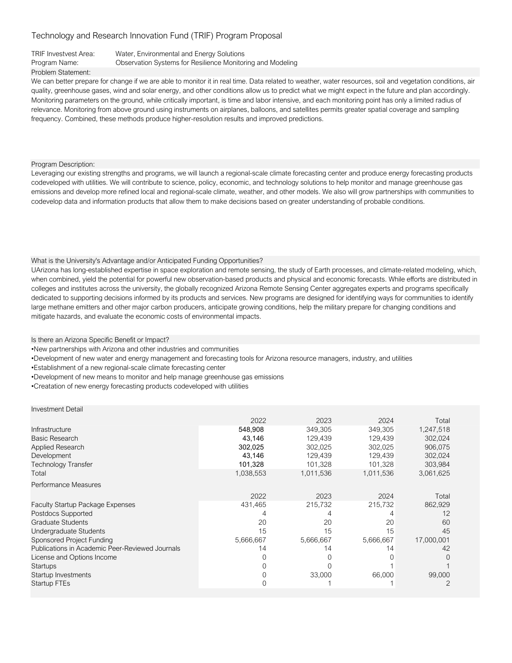#### TRIF Investvest Area: Water, Environmental and Energy Solutions

Program Name: Observation Systems for Resilience Monitoring and Modeling

#### Problem Statement:

We can better prepare for change if we are able to monitor it in real time. Data related to weather, water resources, soil and vegetation conditions, air quality, greenhouse gases, wind and solar energy, and other conditions allow us to predict what we might expect in the future and plan accordingly. Monitoring parameters on the ground, while critically important, is time and labor intensive, and each monitoring point has only a limited radius of relevance. Monitoring from above ground using instruments on airplanes, balloons, and satellites permits greater spatial coverage and sampling frequency. Combined, these methods produce higher-resolution results and improved predictions.

Program Description:

Leveraging our existing strengths and programs, we will launch a regional-scale climate forecasting center and produce energy forecasting products codeveloped with utilities. We will contribute to science, policy, economic, and technology solutions to help monitor and manage greenhouse gas emissions and develop more refined local and regional-scale climate, weather, and other models. We also will grow partnerships with communities to codevelop data and information products that allow them to make decisions based on greater understanding of probable conditions.

#### What is the University's Advantage and/or Anticipated Funding Opportunities?

UArizona has long-established expertise in space exploration and remote sensing, the study of Earth processes, and climate-related modeling, which, when combined, yield the potential for powerful new observation-based products and physical and economic forecasts. While efforts are distributed in colleges and institutes across the university, the globally recognized Arizona Remote Sensing Center aggregates experts and programs specifically dedicated to supporting decisions informed by its products and services. New programs are designed for identifying ways for communities to identify large methane emitters and other major carbon producers, anticipate growing conditions, help the military prepare for changing conditions and mitigate hazards, and evaluate the economic costs of environmental impacts.

Is there an Arizona Specific Benefit or Impact?

•New partnerships with Arizona and other industries and communities

•Development of new water and energy management and forecasting tools for Arizona resource managers, industry, and utilities

•Establishment of a new regional-scale climate forecasting center

•Development of new means to monitor and help manage greenhouse gas emissions

•Creatation of new energy forecasting products codeveloped with utilities

|                                                 | 2022      | 2023      | 2024      | Total      |
|-------------------------------------------------|-----------|-----------|-----------|------------|
| Infrastructure                                  | 548,908   | 349,305   | 349,305   | 1,247,518  |
| Basic Research                                  | 43,146    | 129,439   | 129,439   | 302,024    |
| Applied Research                                | 302,025   | 302,025   | 302,025   | 906,075    |
| Development                                     | 43,146    | 129,439   | 129,439   | 302,024    |
| <b>Technology Transfer</b>                      | 101,328   | 101,328   | 101,328   | 303,984    |
| Total                                           | 1,038,553 | 1,011,536 | 1,011,536 | 3,061,625  |
| Performance Measures                            |           |           |           |            |
|                                                 | 2022      | 2023      | 2024      | Total      |
| <b>Faculty Startup Package Expenses</b>         | 431,465   | 215,732   | 215,732   | 862,929    |
| Postdocs Supported                              |           |           |           | 12         |
| <b>Graduate Students</b>                        | 20        | 20        | 20        | 60         |
| Undergraduate Students                          | 15        | 15        | 15        | 45         |
| Sponsored Project Funding                       | 5,666,667 | 5,666,667 | 5,666,667 | 17,000,001 |
| Publications in Academic Peer-Reviewed Journals | 14        | 14        | 14        | 42         |
| License and Options Income                      |           |           |           |            |
| <b>Startups</b>                                 |           |           |           |            |
| Startup Investments                             |           | 33,000    | 66,000    | 99,000     |
| Startup FTEs                                    |           |           |           |            |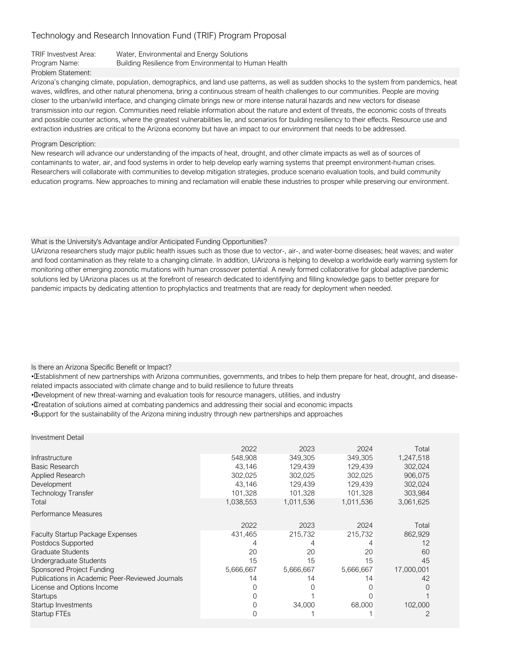## TRIF Investvest Area: Water, Environmental and Energy Solutions

Program Name: Building Resilience from Environmental to Human Health

## Problem Statement:

Arizona's changing climate, population, demographics, and land use patterns, as well as sudden shocks to the system from pandemics, heat waves, wildfires, and other natural phenomena, bring a continuous stream of health challenges to our communities. People are moving closer to the urban/wild interface, and changing climate brings new or more intense natural hazards and new vectors for disease transmission into our region. Communities need reliable information about the nature and extent of threats, the economic costs of threats and possible counter actions, where the greatest vulnerabilities lie, and scenarios for building resiliency to their effects. Resource use and extraction industries are critical to the Arizona economy but have an impact to our environment that needs to be addressed.

#### Program Description:

New research will advance our understanding of the impacts of heat, drought, and other climate impacts as well as of sources of contaminants to water, air, and food systems in order to help develop early warning systems that preempt environment-human crises. Researchers will collaborate with communities to develop mitigation strategies, produce scenario evaluation tools, and build community education programs. New approaches to mining and reclamation will enable these industries to prosper while preserving our environment.

#### What is the University's Advantage and/or Anticipated Funding Opportunities?

UArizona researchers study major public health issues such as those due to vector-, air-, and water-borne diseases; heat waves; and water and food contamination as they relate to a changing climate. In addition, UArizona is helping to develop a worldwide early warning system for monitoring other emerging zoonotic mutations with human crossover potential. A newly formed collaborative for global adaptive pandemic solutions led by UArizona places us at the forefront of research dedicated to identifying and filling knowledge gaps to better prepare for pandemic impacts by dedicating attention to prophylactics and treatments that are ready for deployment when needed.

#### Is there an Arizona Specific Benefit or Impact?

• Establishment of new partnerships with Arizona communities, governments, and tribes to help them prepare for heat, drought, and diseaserelated impacts associated with climate change and to build resilience to future threats

• Development of new threat-warning and evaluation tools for resource managers, utilities, and industry

• Creatation of solutions aimed at combating pandemics and addressing their social and economic impacts

• Support for the sustainability of the Arizona mining industry through new partnerships and approaches

| <b>Investment Detail</b>                        |           |           |           |            |
|-------------------------------------------------|-----------|-----------|-----------|------------|
|                                                 | 2022      | 2023      | 2024      | Total      |
| Infrastructure                                  | 548.908   | 349,305   | 349,305   | 1,247,518  |
| Basic Research                                  | 43,146    | 129,439   | 129,439   | 302,024    |
| Applied Research                                | 302,025   | 302,025   | 302,025   | 906,075    |
| Development                                     | 43,146    | 129,439   | 129,439   | 302,024    |
| <b>Technology Transfer</b>                      | 101,328   | 101,328   | 101,328   | 303,984    |
| Total                                           | 1,038,553 | 1,011,536 | 1,011,536 | 3,061,625  |
| Performance Measures                            |           |           |           |            |
|                                                 | 2022      | 2023      | 2024      | Total      |
| <b>Faculty Startup Package Expenses</b>         | 431,465   | 215,732   | 215,732   | 862,929    |
| Postdocs Supported                              |           |           |           | 12         |
| Graduate Students                               | 20        | 20        | 20        | 60         |
| Undergraduate Students                          | 15        | 15        | 15        | 45         |
| Sponsored Project Funding                       | 5,666,667 | 5,666,667 | 5,666,667 | 17,000,001 |
| Publications in Academic Peer-Reviewed Journals | 14        | 14        | 14        | 42         |
| License and Options Income                      |           |           |           | 0          |
| Startups                                        |           |           |           |            |
| Startup Investments                             |           | 34,000    | 68,000    | 102,000    |
| Startup FTEs                                    |           |           |           |            |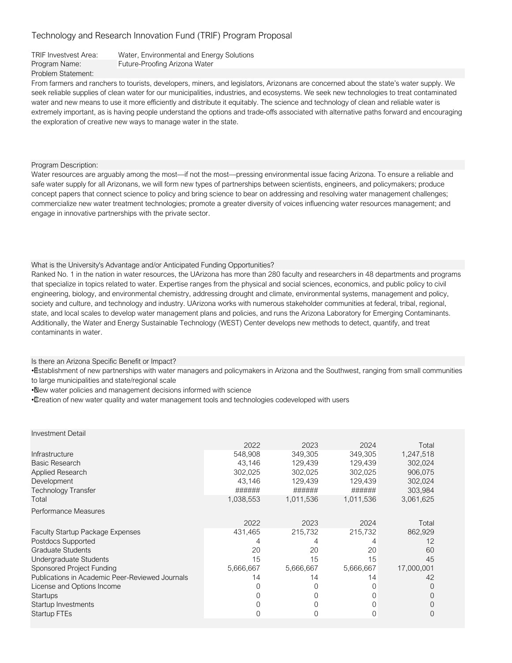| <b>TRIF Investvest Area:</b> | Water, Environmental and Energy Solutions |
|------------------------------|-------------------------------------------|
| Program Name:                | Future-Proofing Arizona Water             |
| Problem Statement:           |                                           |

From farmers and ranchers to tourists, developers, miners, and legislators, Arizonans are concerned about the state's water supply. We seek reliable supplies of clean water for our municipalities, industries, and ecosystems. We seek new technologies to treat contaminated water and new means to use it more efficiently and distribute it equitably. The science and technology of clean and reliable water is extremely important, as is having people understand the options and trade-offs associated with alternative paths forward and encouraging the exploration of creative new ways to manage water in the state.

Program Description:

Water resources are arguably among the most—if not the most—pressing environmental issue facing Arizona. To ensure a reliable and safe water supply for all Arizonans, we will form new types of partnerships between scientists, engineers, and policymakers; produce concept papers that connect science to policy and bring science to bear on addressing and resolving water management challenges; commercialize new water treatment technologies; promote a greater diversity of voices influencing water resources management; and engage in innovative partnerships with the private sector.

#### What is the University's Advantage and/or Anticipated Funding Opportunities?

Ranked No. 1 in the nation in water resources, the UArizona has more than 280 faculty and researchers in 48 departments and programs that specialize in topics related to water. Expertise ranges from the physical and social sciences, economics, and public policy to civil engineering, biology, and environmental chemistry, addressing drought and climate, environmental systems, management and policy, society and culture, and technology and industry. UArizona works with numerous stakeholder communities at federal, tribal, regional, state, and local scales to develop water management plans and policies, and runs the Arizona Laboratory for Emerging Contaminants. Additionally, the Water and Energy Sustainable Technology (WEST) Center develops new methods to detect, quantify, and treat contaminants in water.

Is there an Arizona Specific Benefit or Impact?

• Establishment of new partnerships with water managers and policymakers in Arizona and the Southwest, ranging from small communities to large municipalities and state/regional scale

• New water policies and management decisions informed with science

• Creation of new water quality and water management tools and technologies codeveloped with users

| <b>Investment Detail</b>                        |           |           |           |            |
|-------------------------------------------------|-----------|-----------|-----------|------------|
|                                                 | 2022      | 2023      | 2024      | Total      |
| Infrastructure                                  | 548,908   | 349,305   | 349,305   | 1,247,518  |
| <b>Basic Research</b>                           | 43,146    | 129,439   | 129,439   | 302,024    |
| Applied Research                                | 302,025   | 302,025   | 302,025   | 906,075    |
| Development                                     | 43,146    | 129,439   | 129,439   | 302,024    |
| Technology Transfer                             | ######    | ######    | ######    | 303,984    |
| Total                                           | 1,038,553 | 1,011,536 | 1,011,536 | 3,061,625  |
| Performance Measures                            |           |           |           |            |
|                                                 | 2022      | 2023      | 2024      | Total      |
| <b>Faculty Startup Package Expenses</b>         | 431,465   | 215,732   | 215,732   | 862,929    |
| Postdocs Supported                              |           |           |           | 12         |
| <b>Graduate Students</b>                        | 20        | 20        | 20        | 60         |
| Undergraduate Students                          | 15        | 15        | 15        | 45         |
| Sponsored Project Funding                       | 5,666,667 | 5,666,667 | 5,666,667 | 17,000,001 |
| Publications in Academic Peer-Reviewed Journals | 14        | 14        | 14        | 42         |
| License and Options Income                      |           |           | 0         | 0          |
| <b>Startups</b>                                 |           |           | 0         | 0          |
| Startup Investments                             |           |           | 0         | 0          |
| Startup FTEs                                    |           |           |           | $\Omega$   |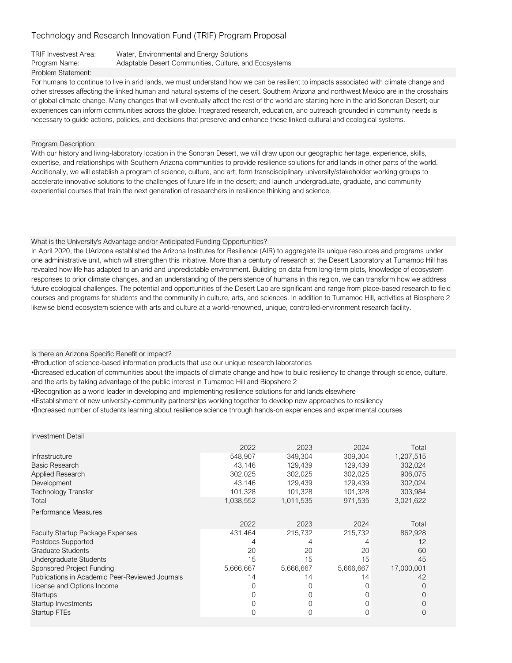### TRIF Investvest Area: Water, Environmental and Energy Solutions Program Name: Adaptable Desert Communities, Culture, and Ecosystems Problem Statement:

For humans to continue to live in arid lands, we must understand how we can be resilient to impacts associated with climate change and other stresses affecting the linked human and natural systems of the desert. Southern Arizona and northwest Mexico are in the crosshairs of global climate change. Many changes that will eventually affect the rest of the world are starting here in the arid Sonoran Desert; our experiences can inform communities across the globe. Integrated research, education, and outreach grounded in community needs is necessary to guide actions, policies, and decisions that preserve and enhance these linked cultural and ecological systems.

#### Program Description:

With our history and living-laboratory location in the Sonoran Desert, we will draw upon our geographic heritage, experience, skills, expertise, and relationships with Southern Arizona communities to provide resilience solutions for arid lands in other parts of the world. Additionally, we will establish a program of science, culture, and art; form transdisciplinary university/stakeholder working groups to accelerate innovative solutions to the challenges of future life in the desert; and launch undergraduate, graduate, and community experiential courses that train the next generation of researchers in resilience thinking and science.

#### What is the University's Advantage and/or Anticipated Funding Opportunities?

In April 2020, the UArizona established the Arizona Institutes for Resilience (AIR) to aggregate its unique resources and programs under one administrative unit, which will strengthen this initiative. More than a century of research at the Desert Laboratory at Tumamoc Hill has revealed how life has adapted to an arid and unpredictable environment. Building on data from long-term plots, knowledge of ecosystem responses to prior climate changes, and an understanding of the persistence of humans in this region, we can transform how we address future ecological challenges. The potential and opportunities of the Desert Lab are significant and range from place-based research to field courses and programs for students and the community in culture, arts, and sciences. In addition to Tumamoc Hill, activities at Biosphere 2 likewise blend ecosystem science with arts and culture at a world-renowned, unique, controlled-environment research facility.

#### Is there an Arizona Specific Benefit or Impact?

• Production of science-based information products that use our unique research laboratories

• Increased education of communities about the impacts of climate change and how to build resiliency to change through science, culture, and the arts by taking advantage of the public interest in Tumamoc Hill and Biopshere 2

• Recognition as a world leader in developing and implementing resilience solutions for arid lands elsewhere

• Establishment of new university-community partnerships working together to develop new approaches to resiliency

• Increased number of students learning about resilience science through hands-on experiences and experimental courses

| <b>Investment Detail</b>                        |           |           |           |            |
|-------------------------------------------------|-----------|-----------|-----------|------------|
|                                                 | 2022      | 2023      | 2024      | Total      |
| Infrastructure                                  | 548,907   | 349,304   | 309,304   | 1,207,515  |
| <b>Basic Research</b>                           | 43,146    | 129,439   | 129,439   | 302,024    |
| Applied Research                                | 302,025   | 302,025   | 302,025   | 906,075    |
| Development                                     | 43.146    | 129,439   | 129.439   | 302,024    |
| Technology Transfer                             | 101,328   | 101,328   | 101,328   | 303,984    |
| Total                                           | 1,038,552 | 1,011,535 | 971,535   | 3,021,622  |
| Performance Measures                            |           |           |           |            |
|                                                 | 2022      | 2023      | 2024      | Total      |
| <b>Faculty Startup Package Expenses</b>         | 431,464   | 215,732   | 215,732   | 862,928    |
| Postdocs Supported                              |           |           |           | 12         |
| Graduate Students                               | 20        | 20        | 20        | 60         |
| Undergraduate Students                          | 15        | 15        | 15        | 45         |
| Sponsored Project Funding                       | 5,666,667 | 5,666,667 | 5,666,667 | 17,000,001 |
| Publications in Academic Peer-Reviewed Journals | 14        | 14        | 14        | 42         |
| License and Options Income                      |           |           | 0         | $\Omega$   |
| <b>Startups</b>                                 |           |           | 0         |            |
| Startup Investments                             |           |           | 0         |            |
| Startup FTEs                                    |           |           | 0         |            |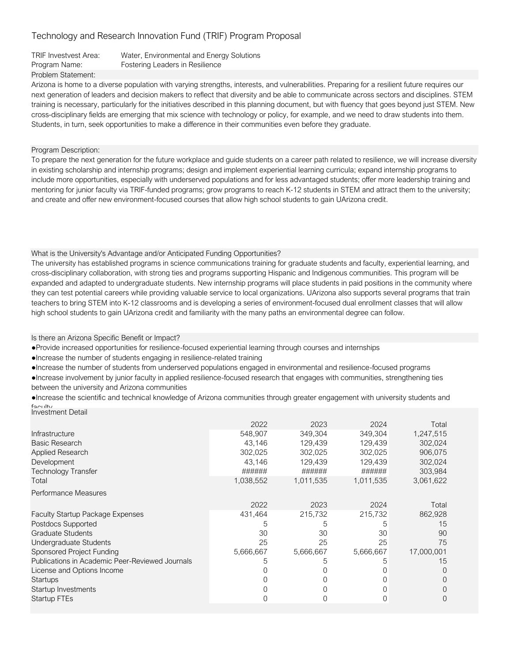| TRIF Investvest Area: | Water, Environmental and Energy Solutions |
|-----------------------|-------------------------------------------|
| Program Name:         | Fostering Leaders in Resilience           |
| Problem Statement:    |                                           |

Arizona is home to a diverse population with varying strengths, interests, and vulnerabilities. Preparing for a resilient future requires our next generation of leaders and decision makers to reflect that diversity and be able to communicate across sectors and disciplines. STEM training is necessary, particularly for the initiatives described in this planning document, but with fluency that goes beyond just STEM. New cross-disciplinary fields are emerging that mix science with technology or policy, for example, and we need to draw students into them. Students, in turn, seek opportunities to make a difference in their communities even before they graduate.

### Program Description:

To prepare the next generation for the future workplace and guide students on a career path related to resilience, we will increase diversity in existing scholarship and internship programs; design and implement experiential learning curricula; expand internship programs to include more opportunities, especially with underserved populations and for less advantaged students; offer more leadership training and mentoring for junior faculty via TRIF-funded programs; grow programs to reach K-12 students in STEM and attract them to the university; and create and offer new environment-focused courses that allow high school students to gain UArizona credit.

## What is the University's Advantage and/or Anticipated Funding Opportunities?

The university has established programs in science communications training for graduate students and faculty, experiential learning, and cross-disciplinary collaboration, with strong ties and programs supporting Hispanic and Indigenous communities. This program will be expanded and adapted to undergraduate students. New internship programs will place students in paid positions in the community where they can test potential careers while providing valuable service to local organizations. UArizona also supports several programs that train teachers to bring STEM into K-12 classrooms and is developing a series of environment-focused dual enrollment classes that will allow high school students to gain UArizona credit and familiarity with the many paths an environmental degree can follow.

### Is there an Arizona Specific Benefit or Impact?

● Provide increased opportunities for resilience-focused experiential learning through courses and internships

● Increase the number of students engaging in resilience-related training

● Increase the number of students from underserved populations engaged in environmental and resilience-focused programs

● Increase involvement by junior faculty in applied resilience-focused research that engages with communities, strengthening ties between the university and Arizona communities

● Increase the scientific and technical knowledge of Arizona communities through greater engagement with university students and faculty Investment Detail

| Infrastructure<br><b>Basic Research</b><br>Applied Research<br>Development | 2022<br>548.907<br>43.146<br>302,025<br>43.146<br>###### | 2023<br>349.304<br>129,439<br>302,025<br>129.439<br>###### | 2024<br>349.304<br>129,439<br>302,025<br>129,439<br>###### | Total<br>1,247,515<br>302,024<br>906,075<br>302,024 |
|----------------------------------------------------------------------------|----------------------------------------------------------|------------------------------------------------------------|------------------------------------------------------------|-----------------------------------------------------|
| Technology Transfer<br>Total                                               | 1,038,552                                                | 1,011,535                                                  | 1,011,535                                                  | 303,984<br>3,061,622                                |
| Performance Measures                                                       |                                                          |                                                            |                                                            |                                                     |
|                                                                            | 2022                                                     | 2023                                                       | 2024                                                       | Total                                               |
| <b>Faculty Startup Package Expenses</b>                                    | 431,464                                                  | 215,732                                                    | 215,732                                                    | 862,928                                             |
| Postdocs Supported                                                         | 5                                                        | 5                                                          | 5                                                          | 15                                                  |
| Graduate Students                                                          | 30                                                       | 30                                                         | 30                                                         | 90                                                  |
| Undergraduate Students                                                     | 25                                                       | 25                                                         | 25                                                         | 75                                                  |
| Sponsored Project Funding                                                  | 5,666,667                                                | 5,666,667                                                  | 5,666,667                                                  | 17,000,001                                          |
| Publications in Academic Peer-Reviewed Journals                            |                                                          | 5                                                          | 5                                                          | 15                                                  |
| License and Options Income                                                 |                                                          |                                                            |                                                            | 0                                                   |
| <b>Startups</b>                                                            |                                                          |                                                            |                                                            | 0                                                   |
| Startup Investments                                                        |                                                          |                                                            |                                                            | 0                                                   |
| Startup FTEs                                                               |                                                          |                                                            |                                                            | $\Omega$                                            |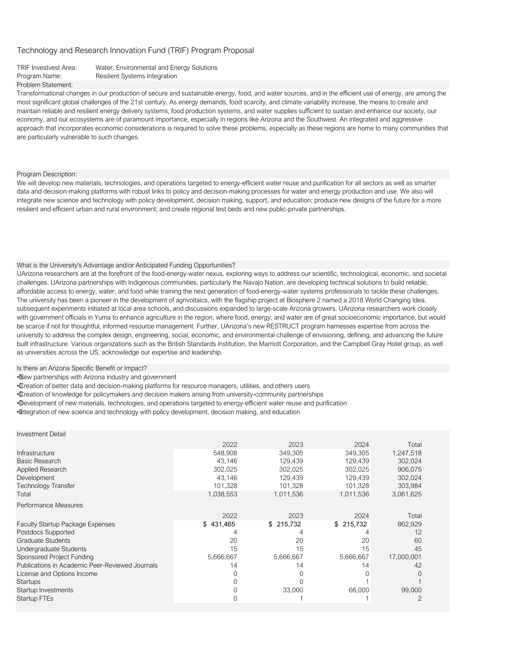#### TRIF Investvest Area: Water, Environmental and Energy Solutions Program Name: Resilient Systems Integration

#### Problem Statement:

Transformational changes in our production of secure and sustainable energy, food, and water sources, and in the efficient use of energy, are among the most significant global challenges of the 21st century. As energy demands, food scarcity, and climate variability increase, the means to create and maintain reliable and resilient energy delivery systems, food production systems, and water supplies sufficient to sustain and enhance our society, our economy, and our ecosystems are of paramount importance, especially in regions like Arizona and the Southwest. An integrated and aggressive approach that incorporates economic considerations is required to solve these problems, especially as these regions are home to many communities that are particularly vulnerable to such changes.

#### Program Description:

We will develop new materials, technologies, and operations targeted to energy-efficient water reuse and purification for all sectors as well as smarter data and decision-making platforms with robust links to policy and decision-making processes for water and energy production and use. We also will integrate new science and technology with policy development, decision making, support, and education; produce new designs of the future for a more resilient and efficient urban and rural environment; and create regional test beds and new public-private partnerships.

#### What is the University's Advantage and/or Anticipated Funding Opportunities?

UArizona researchers are at the forefront of the food-energy-water nexus, exploring ways to address our scientific, technological, economic, and societal challenges. UArizona partnerships with Indigenous communities, particularly the Navajo Nation, are developing technical solutions to build reliable, affordable access to energy, water, and food while training the next generation of food-energy-water systems professionals to tackle these challenges. The university has been a pioneer in the development of agrivoltaics, with the flagship project at Biosphere 2 named a 2018 World Changing Idea, subsequent experiments initiated at local area schools, and discussions expanded to large-scale Arizona growers. UArizona researchers work closely with government officials in Yuma to enhance agriculture in the region, where food, energy, and water are of great socioeconomic importance, but would be scarce if not for thoughtful, informed resource management. Further, UArizona's new RESTRUCT program harnesses expertise from across the university to address the complex design, engineering, social, economic, and environmental challenge of envisioning, defining, and advancing the future built infrastructure. Various organizations such as the British Standards Institution, the Marriott Corporation, and the Campbell Gray Hotel group, as well as universities across the US, acknowledge our expertise and leadership.

Is there an Arizona Specific Benefit or Impact?

• New partnerships with Arizona industry and government

• Creation of better data and decision-making platforms for resource managers, utilities, and others users

• Creation of knowledge for policymakers and decision makers arising from university-community partnerships

• Development of new materials, technologies, and operations targeted to energy-efficient water reuse and purification

• Integration of new science and technology with policy development, decision making, and education

| <b>Investment Detail</b> |  |
|--------------------------|--|
|--------------------------|--|

|                                                 | 2022      | 2023      | 2024      | Total      |
|-------------------------------------------------|-----------|-----------|-----------|------------|
| Infrastructure                                  | 548,908   | 349.305   | 349.305   | 1,247,518  |
| <b>Basic Research</b>                           | 43.146    | 129.439   | 129.439   | 302,024    |
| <b>Applied Research</b>                         | 302,025   | 302,025   | 302,025   | 906,075    |
| Development                                     | 43,146    | 129,439   | 129,439   | 302,024    |
| <b>Technology Transfer</b>                      | 101,328   | 101,328   | 101,328   | 303,984    |
| Total                                           | 1,038,553 | 1,011,536 | 1,011,536 | 3,061,625  |
| Performance Measures                            |           |           |           |            |
|                                                 | 2022      | 2023      | 2024      | Total      |
| <b>Faculty Startup Package Expenses</b>         | \$431,465 | \$215,732 | \$215,732 | 862,929    |
| Postdocs Supported                              |           |           |           | 12         |
| <b>Graduate Students</b>                        | 20        | 20        | 20        | 60         |
| Undergraduate Students                          | 15        | 15        | 15        | 45         |
| Sponsored Project Funding                       | 5,666,667 | 5,666,667 | 5,666,667 | 17,000,001 |
| Publications in Academic Peer-Reviewed Journals | 14        | 14        | 14        | 42         |
| License and Options Income                      |           |           |           | $\Omega$   |
| <b>Startups</b>                                 |           |           |           |            |
| Startup Investments                             |           | 33,000    | 66,000    | 99,000     |
| Startup FTEs                                    |           |           |           | 2          |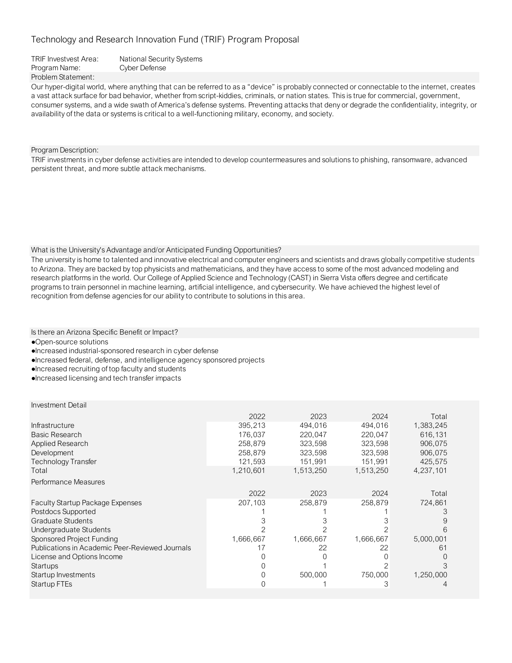Problem Statement: TRIF Investvest Area: National Security Systems Program Name: Cyber Defense

Our hyper-digital world, where anything that can be referred to as a "device" is probably connected or connectable to the internet, creates a vast attack surface for bad behavior, whether from script-kiddies, criminals, or nation states. This is true for commercial, government, consumer systems, and a wide swath of America's defense systems. Preventing attacks that deny or degrade the confidentiality, integrity, or availability of the data or systems is critical to a well-functioning military, economy, and society.

Program Description:

TRIF investments in cyber defense activities are intended to develop countermeasures and solutions to phishing, ransomware, advanced persistent threat, and more subtle attack mechanisms.

### What is the University's Advantage and/or Anticipated Funding Opportunities?

The university is home to talented and innovative electrical and computer engineers and scientists and draws globally competitive students to Arizona. They are backed by top physicists and mathematicians, and they have access to some of the most advanced modeling and research platforms in the world. Our College of Applied Science and Technology (CAST) in Sierra Vista offers degree and certificate programs to train personnel in machine learning, artificial intelligence, and cybersecurity. We have achieved the highest level of recognition from defense agencies for our ability to contribute to solutions in this area.

Is there an Arizona Specific Benefit or Impact?

●Open-source solutions

- ●Increased industrial-sponsored research in cyber defense
- ●Increased federal, defense, and intelligence agency sponsored projects

●Increased recruiting of top faculty and students

●Increased licensing and tech transfer impacts

|                                                 | 2022      | 2023      | 2024      | Total     |
|-------------------------------------------------|-----------|-----------|-----------|-----------|
| Infrastructure                                  | 395,213   | 494,016   | 494,016   | 1,383,245 |
| Basic Research                                  | 176,037   | 220,047   | 220,047   | 616,131   |
| Applied Research                                | 258.879   | 323,598   | 323,598   | 906,075   |
| Development                                     | 258,879   | 323,598   | 323,598   | 906,075   |
| Technology Transfer                             | 121,593   | 151,991   | 151,991   | 425,575   |
| Total                                           | 1,210,601 | 1,513,250 | 1,513,250 | 4,237,101 |
| Performance Measures                            |           |           |           |           |
|                                                 | 2022      | 2023      | 2024      | Total     |
| <b>Faculty Startup Package Expenses</b>         | 207,103   | 258,879   | 258,879   | 724,861   |
| Postdocs Supported                              |           |           |           |           |
| <b>Graduate Students</b>                        |           |           |           | 9         |
| Undergraduate Students                          |           |           |           | 6         |
| Sponsored Project Funding                       | 1,666,667 | 1,666,667 | 1,666,667 | 5,000,001 |
| Publications in Academic Peer-Reviewed Journals |           | 22        | 22        | 61        |
| License and Options Income                      |           |           |           |           |
| Startups                                        |           |           |           |           |
| Startup Investments                             |           | 500,000   | 750,000   | 1,250,000 |
| Startup FTEs                                    |           |           | 3         |           |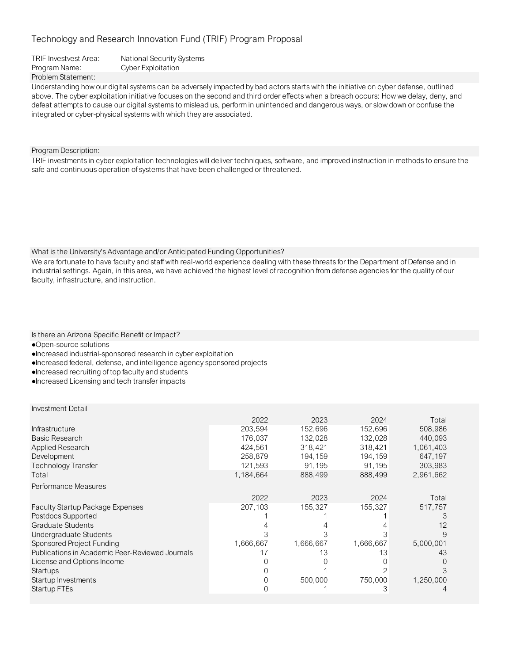Problem Statement: TRIF Investvest Area: National Security Systems Program Name: Cyber Exploitation

Understanding how our digital systems can be adversely impacted by bad actors starts with the initiative on cyber defense, outlined above. The cyber exploitation initiative focuses on the second and third order effects when a breach occurs: How we delay, deny, and defeat attempts to cause our digital systems to mislead us, perform in unintended and dangerous ways, or slow down or confuse the integrated or cyber-physical systems with which they are associated.

Program Description:

TRIF investments in cyber exploitation technologies will deliver techniques, software, and improved instruction in methods to ensure the safe and continuous operation of systems that have been challenged or threatened.

What is the University's Advantage and/or Anticipated Funding Opportunities?

We are fortunate to have faculty and staff with real-world experience dealing with these threats for the Department of Defense and in industrial settings. Again, in this area, we have achieved the highest level of recognition from defense agencies for the quality of our faculty, infrastructure, and instruction.

Is there an Arizona Specific Benefit or Impact?

●Open-source solutions

●Increased industrial-sponsored research in cyber exploitation

●Increased federal, defense, and intelligence agency sponsored projects

●Increased recruiting of top faculty and students

●Increased Licensing and tech transfer impacts

|                                                 | 2022      | 2023      | 2024      | Total     |
|-------------------------------------------------|-----------|-----------|-----------|-----------|
| Infrastructure                                  | 203,594   | 152,696   | 152,696   | 508,986   |
| Basic Research                                  | 176,037   | 132,028   | 132,028   | 440,093   |
| <b>Applied Research</b>                         | 424,561   | 318,421   | 318,421   | 1,061,403 |
| Development                                     | 258,879   | 194,159   | 194,159   | 647,197   |
| <b>Technology Transfer</b>                      | 121,593   | 91,195    | 91,195    | 303,983   |
| Total                                           | 1,184,664 | 888,499   | 888,499   | 2,961,662 |
| Performance Measures                            |           |           |           |           |
|                                                 | 2022      | 2023      | 2024      | Total     |
| Faculty Startup Package Expenses                | 207,103   | 155,327   | 155,327   | 517,757   |
| Postdocs Supported                              |           |           |           |           |
| Graduate Students                               |           |           |           | 12        |
| Undergraduate Students                          |           |           |           |           |
| Sponsored Project Funding                       | 1,666,667 | 1,666,667 | 1,666,667 | 5,000,001 |
| Publications in Academic Peer-Reviewed Journals |           | 13        | 13        | 43        |
| License and Options Income                      |           |           |           |           |
| Startups                                        |           |           |           |           |
| Startup Investments                             |           | 500,000   | 750,000   | 1,250,000 |
| Startup FTEs                                    |           |           | З         |           |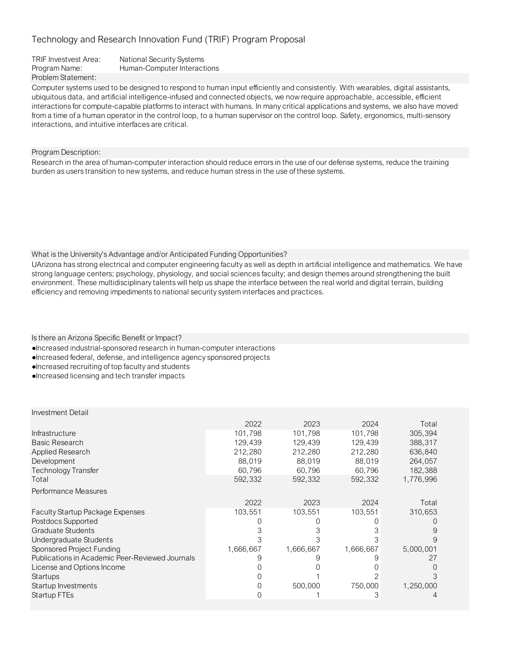| TRIF Investvest Area: | National Security Systems   |
|-----------------------|-----------------------------|
| Program Name:         | Human-Computer Interactions |
| Problem Statement:    |                             |

Computer systems used to be designed to respond to human input efficiently and consistently. With wearables, digital assistants, ubiquitous data, and artificial intelligence-infused and connected objects, we now require approachable, accessible, efficient interactions for compute-capable platforms to interact with humans. In many critical applications and systems, we also have moved from a time of a human operator in the control loop, to a human supervisor on the control loop. Safety, ergonomics, multi-sensory interactions, and intuitive interfaces are critical.

Program Description:

Research in the area of human-computer interaction should reduce errors in the use of our defense systems, reduce the training burden as users transition to new systems, and reduce human stress in the use of these systems.

What is the University's Advantage and/or Anticipated Funding Opportunities?

UArizona has strong electrical and computer engineering faculty as well as depth in artificial intelligence and mathematics. We have strong language centers; psychology, physiology, and social sciences faculty; and design themes around strengthening the built environment. These multidisciplinary talents will help us shape the interface between the real world and digital terrain, building efficiency and removing impediments to national security system interfaces and practices.

Is there an Arizona Specific Benefit or Impact?

- ●Increased industrial-sponsored research in human-computer interactions
- ●Increased federal, defense, and intelligence agency sponsored projects
- ●Increased recruiting of top faculty and students
- ●Increased licensing and tech transfer impacts

|                                                 | 2022      | 2023      | 2024      | Total     |
|-------------------------------------------------|-----------|-----------|-----------|-----------|
| Infrastructure                                  | 101,798   | 101,798   | 101,798   | 305,394   |
| <b>Basic Research</b>                           | 129,439   | 129,439   | 129.439   | 388,317   |
| <b>Applied Research</b>                         | 212,280   | 212,280   | 212,280   | 636,840   |
| Development                                     | 88,019    | 88,019    | 88,019    | 264,057   |
| <b>Technology Transfer</b>                      | 60,796    | 60,796    | 60,796    | 182,388   |
| Total                                           | 592,332   | 592,332   | 592,332   | 1,776,996 |
| Performance Measures                            |           |           |           |           |
|                                                 | 2022      | 2023      | 2024      | Total     |
| <b>Faculty Startup Package Expenses</b>         | 103,551   | 103,551   | 103,551   | 310,653   |
| Postdocs Supported                              |           |           |           |           |
| Graduate Students                               |           |           |           | 9         |
| Undergraduate Students                          |           |           |           |           |
| Sponsored Project Funding                       | 1,666,667 | 1,666,667 | 1,666,667 | 5,000,001 |
| Publications in Academic Peer-Reviewed Journals |           |           |           | 27        |
| License and Options Income                      |           |           |           |           |
| Startups                                        |           |           |           |           |
| Startup Investments                             |           | 500,000   | 750,000   | 1,250,000 |
| Startup FTEs                                    |           |           | З         |           |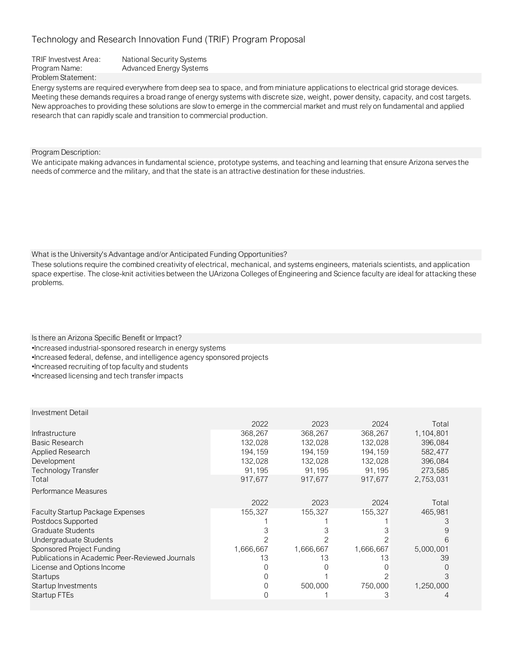TRIF Investvest Area: National Security Systems Program Name: Advanced Energy Systems Problem Statement:

Energy systems are required everywhere from deep sea to space, and from miniature applications to electrical grid storage devices. Meeting these demands requires a broad range of energy systems with discrete size, weight, power density, capacity, and cost targets. New approaches to providing these solutions are slow to emerge in the commercial market and must rely on fundamental and applied research that can rapidly scale and transition to commercial production.

Program Description:

We anticipate making advances in fundamental science, prototype systems, and teaching and learning that ensure Arizona serves the needs of commerce and the military, and that the state is an attractive destination for these industries.

What is the University's Advantage and/or Anticipated Funding Opportunities?

These solutions require the combined creativity of electrical, mechanical, and systems engineers, materials scientists, and application space expertise. The close-knit activities between the UArizona Colleges of Engineering and Science faculty are ideal for attacking these problems.

Is there an Arizona Specific Benefit or Impact? •Increased industrial-sponsored research in energy systems •Increased federal, defense, and intelligence agency sponsored projects •Increased recruiting of top faculty and students •Increased licensing and tech transfer impacts

|                                                 | 2022      | 2023      | 2024      | Total     |
|-------------------------------------------------|-----------|-----------|-----------|-----------|
| Infrastructure                                  | 368,267   | 368,267   | 368,267   | 1,104,801 |
| <b>Basic Research</b>                           | 132,028   | 132,028   | 132,028   | 396,084   |
| Applied Research                                | 194.159   | 194,159   | 194,159   | 582,477   |
| Development                                     | 132,028   | 132,028   | 132,028   | 396,084   |
| <b>Technology Transfer</b>                      | 91,195    | 91,195    | 91,195    | 273,585   |
| Total                                           | 917,677   | 917,677   | 917,677   | 2,753,031 |
| Performance Measures                            |           |           |           |           |
|                                                 | 2022      | 2023      | 2024      | Total     |
| <b>Faculty Startup Package Expenses</b>         | 155,327   | 155,327   | 155,327   | 465,981   |
| Postdocs Supported                              |           |           |           |           |
| Graduate Students                               |           |           |           |           |
| Undergraduate Students                          |           |           |           | 6         |
| Sponsored Project Funding                       | 1,666,667 | 1,666,667 | 1,666,667 | 5,000,001 |
| Publications in Academic Peer-Reviewed Journals | 13        | 13        | 13        | 39        |
| License and Options Income                      |           |           |           |           |
| Startups                                        |           |           |           | З         |
| Startup Investments                             |           | 500,000   | 750,000   | 1,250,000 |
| Startup FTEs                                    |           |           | 3         |           |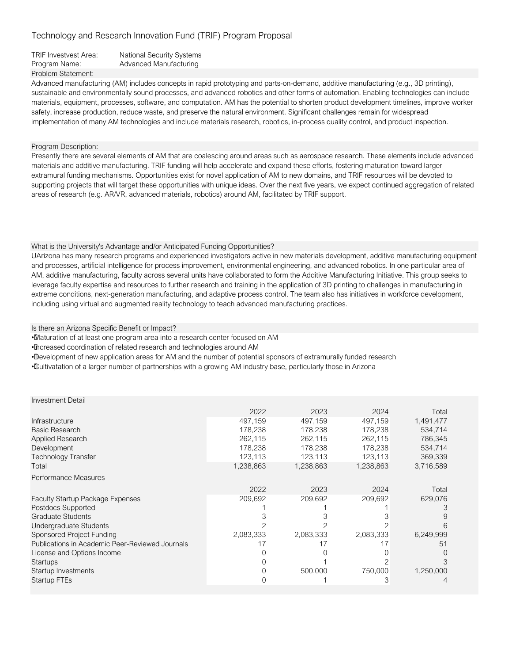| <b>TRIF Investvest Area:</b> | <b>National Security Systems</b> |
|------------------------------|----------------------------------|
| Program Name:                | Advanced Manufacturing           |
| Problem Statement:           |                                  |

Advanced manufacturing (AM) includes concepts in rapid prototyping and parts-on-demand, additive manufacturing (e.g., 3D printing), sustainable and environmentally sound processes, and advanced robotics and other forms of automation. Enabling technologies can include materials, equipment, processes, software, and computation. AM has the potential to shorten product development timelines, improve worker safety, increase production, reduce waste, and preserve the natural environment. Significant challenges remain for widespread implementation of many AM technologies and include materials research, robotics, in-process quality control, and product inspection.

#### Program Description:

Investment Detail

Presently there are several elements of AM that are coalescing around areas such as aerospace research. These elements include advanced materials and additive manufacturing. TRIF funding will help accelerate and expand these efforts, fostering maturation toward larger extramural funding mechanisms. Opportunities exist for novel application of AM to new domains, and TRIF resources will be devoted to supporting projects that will target these opportunities with unique ideas. Over the next five years, we expect continued aggregation of related areas of research (e.g. AR/VR, advanced materials, robotics) around AM, facilitated by TRIF support.

#### What is the University's Advantage and/or Anticipated Funding Opportunities?

UArizona has many research programs and experienced investigators active in new materials development, additive manufacturing equipment and processes, artificial intelligence for process improvement, environmental engineering, and advanced robotics. In one particular area of AM, additive manufacturing, faculty across several units have collaborated to form the Additive Manufacturing Initiative. This group seeks to leverage faculty expertise and resources to further research and training in the application of 3D printing to challenges in manufacturing in extreme conditions, next-generation manufacturing, and adaptive process control. The team also has initiatives in workforce development, including using virtual and augmented reality technology to teach advanced manufacturing practices.

Is there an Arizona Specific Benefit or Impact?

• Maturation of at least one program area into a research center focused on AM

• Increased coordination of related research and technologies around AM

• Development of new application areas for AM and the number of potential sponsors of extramurally funded research

• Cultivatation of a larger number of partnerships with a growing AM industry base, particularly those in Arizona

| 2022      | 2023      | 2024      | Total     |
|-----------|-----------|-----------|-----------|
| 497,159   | 497,159   | 497,159   | 1,491,477 |
| 178,238   | 178,238   | 178,238   | 534,714   |
| 262,115   | 262,115   | 262,115   | 786,345   |
| 178,238   | 178,238   | 178,238   | 534,714   |
| 123,113   | 123,113   | 123,113   | 369,339   |
| 1,238,863 | 1,238,863 | 1,238,863 | 3,716,589 |
|           |           |           |           |
| 2022      | 2023      | 2024      | Total     |
| 209,692   | 209,692   | 209,692   | 629,076   |
|           |           |           |           |
|           |           |           |           |
|           |           |           |           |
| 2,083,333 | 2,083,333 | 2,083,333 | 6,249,999 |
|           |           | 17        | 51        |
|           |           |           |           |
|           |           |           |           |
|           | 500,000   | 750,000   | 1,250,000 |
|           |           |           |           |
|           |           |           |           |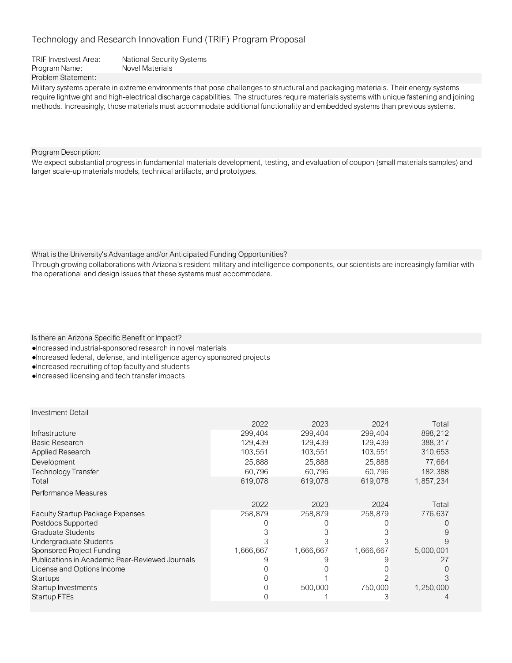TRIF Investvest Area: National Security Systems Program Name: Novel Materials Problem Statement:

Military systems operate in extreme environments that pose challenges to structural and packaging materials. Their energy systems require lightweight and high-electrical discharge capabilities. The structures require materials systems with unique fastening and joining methods. Increasingly, those materials must accommodate additional functionality and embedded systems than previous systems.

Program Description:

We expect substantial progress in fundamental materials development, testing, and evaluation of coupon (small materials samples) and larger scale-up materials models, technical artifacts, and prototypes.

What is the University's Advantage and/or Anticipated Funding Opportunities?

Through growing collaborations with Arizona's resident military and intelligence components, our scientists are increasingly familiar with the operational and design issues that these systems must accommodate.

Is there an Arizona Specific Benefit or Impact?

- ●Increased industrial-sponsored research in novel materials
- ●Increased federal, defense, and intelligence agency sponsored projects
- ●Increased recruiting of top faculty and students
- ●Increased licensing and tech transfer impacts

|                                                 | 2022      | 2023      | 2024      | Total     |
|-------------------------------------------------|-----------|-----------|-----------|-----------|
| Infrastructure                                  | 299,404   | 299,404   | 299,404   | 898,212   |
| Basic Research                                  | 129,439   | 129,439   | 129,439   | 388,317   |
| Applied Research                                | 103,551   | 103,551   | 103,551   | 310,653   |
| Development                                     | 25,888    | 25,888    | 25,888    | 77,664    |
| <b>Technology Transfer</b>                      | 60.796    | 60.796    | 60.796    | 182,388   |
| Total                                           | 619,078   | 619,078   | 619,078   | 1,857,234 |
| Performance Measures                            |           |           |           |           |
|                                                 | 2022      | 2023      | 2024      | Total     |
| <b>Faculty Startup Package Expenses</b>         | 258,879   | 258,879   | 258,879   | 776,637   |
| Postdocs Supported                              |           |           |           |           |
| <b>Graduate Students</b>                        |           |           |           |           |
| Undergraduate Students                          |           |           |           |           |
| Sponsored Project Funding                       | 1,666,667 | 1,666,667 | 1,666,667 | 5,000,001 |
| Publications in Academic Peer-Reviewed Journals |           |           |           | 2(        |
| License and Options Income                      |           |           |           |           |
| Startups                                        |           |           |           |           |
| Startup Investments                             |           | 500,000   | 750,000   | 1,250,000 |
| Startup FTEs                                    |           |           |           |           |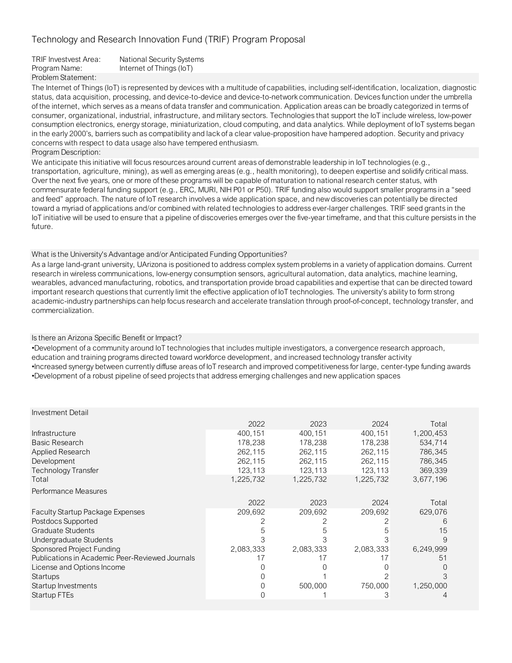TRIF Investvest Area: National Security Systems Program Name: Internet of Things (IoT) Problem Statement:

The Internet of Things (IoT) is represented by devices with a multitude of capabilities, including self-identification, localization, diagnostic status, data acquisition, processing, and device-to-device and device-to-network communication. Devices function under the umbrella of the internet, which serves as a means of data transfer and communication. Application areas can be broadly categorized in terms of consumer, organizational, industrial, infrastructure, and military sectors. Technologies that support the IoT include wireless, low-power consumption electronics, energy storage, miniaturization, cloud computing, and data analytics. While deployment of IoT systems began in the early 2000's, barriers such as compatibility and lack of a clear value-proposition have hampered adoption. Security and privacy concerns with respect to data usage also have tempered enthusiasm.

Program Description:

We anticipate this initiative will focus resources around current areas of demonstrable leadership in IoT technologies (e.g., transportation, agriculture, mining), as well as emerging areas (e.g., health monitoring), to deepen expertise and solidify critical mass. Over the next five years, one or more of these programs will be capable of maturation to national research center status, with commensurate federal funding support (e.g., ERC, MURI, NIH P01 or P50). TRIF funding also would support smaller programs in a "seed and feed" approach. The nature of IoT research involves a wide application space, and new discoveries can potentially be directed toward a myriad of applications and/or combined with related technologies to address ever-larger challenges. TRIF seed grants in the IoT initiative will be used to ensure that a pipeline of discoveries emerges over the five-year timeframe, and that this culture persists in the future.

## What is the University's Advantage and/or Anticipated Funding Opportunities?

As a large land-grant university, UArizona is positioned to address complex system problems in a variety of application domains. Current research in wireless communications, low-energy consumption sensors, agricultural automation, data analytics, machine learning, wearables, advanced manufacturing, robotics, and transportation provide broad capabilities and expertise that can be directed toward important research questions that currently limit the effective application of IoT technologies. The university's ability to form strong academic-industry partnerships can help focus research and accelerate translation through proof-of-concept, technology transfer, and commercialization.

### Is there an Arizona Specific Benefit or Impact?

•Development of a community around IoT technologies that includes multiple investigators, a convergence research approach, education and training programs directed toward workforce development, and increased technology transfer activity •Increased synergy between currently diffuse areas of IoT research and improved competitiveness for large, center-type funding awards •Development of a robust pipeline of seed projects that address emerging challenges and new application spaces

| <b>Investment Detail</b>                        |           |           |           |           |
|-------------------------------------------------|-----------|-----------|-----------|-----------|
|                                                 | 2022      | 2023      | 2024      | Total     |
| <b>Infrastructure</b>                           | 400,151   | 400,151   | 400,151   | 1,200,453 |
| Basic Research                                  | 178,238   | 178,238   | 178,238   | 534,714   |
| Applied Research                                | 262,115   | 262,115   | 262,115   | 786,345   |
| Development                                     | 262,115   | 262,115   | 262,115   | 786,345   |
| Technology Transfer                             | 123,113   | 123,113   | 123,113   | 369,339   |
| Total                                           | 1,225,732 | 1,225,732 | 1,225,732 | 3,677,196 |
| Performance Measures                            |           |           |           |           |
|                                                 | 2022      | 2023      | 2024      | Total     |
| <b>Faculty Startup Package Expenses</b>         | 209,692   | 209,692   | 209,692   | 629,076   |
| Postdocs Supported                              |           |           |           | h         |
| <b>Graduate Students</b>                        | 5         |           | 5         | 15        |
| Undergraduate Students                          |           |           |           | 9         |
| Sponsored Project Funding                       | 2,083,333 | 2,083,333 | 2,083,333 | 6,249,999 |
| Publications in Academic Peer-Reviewed Journals | 17        |           |           | 51        |
| License and Options Income                      |           |           |           |           |
| Startups                                        |           |           |           |           |
| Startup Investments                             |           | 500,000   | 750,000   | 1,250,000 |
| Startup FTEs                                    |           |           | 3         |           |
|                                                 |           |           |           |           |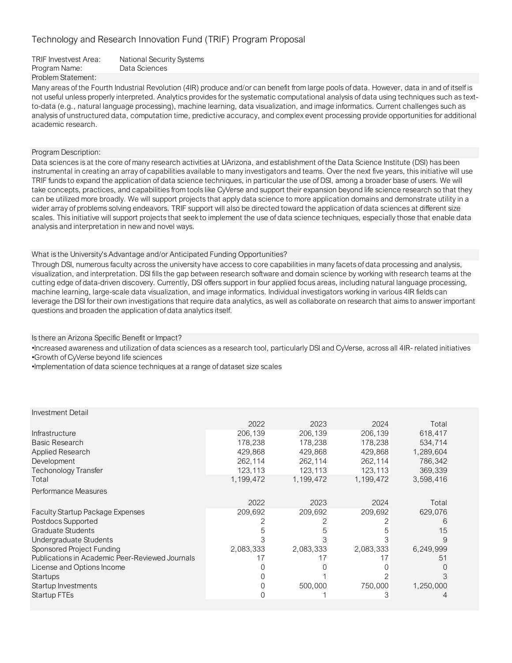TRIF Investvest Area: National Security Systems Program Name: Data Sciences Problem Statement:

Many areas of the Fourth Industrial Revolution (4IR) produce and/or can benefit from large pools of data. However, data in and of itself is not useful unless properly interpreted. Analytics provides for the systematic computational analysis of data using techniques such as textto-data (e.g., natural language processing), machine learning, data visualization, and image informatics. Current challenges such as analysis of unstructured data, computation time, predictive accuracy, and complex event processing provide opportunities for additional academic research.

### Program Description:

Data sciences is at the core of many research activities at UArizona, and establishment of the Data Science Institute (DSI) has been instrumental in creating an array of capabilities available to many investigators and teams. Over the next five years, this initiative will use TRIF funds to expand the application of data science techniques, in particular the use of DSI, among a broader base of users. We will take concepts, practices, and capabilities from tools like CyVerse and support their expansion beyond life science research so that they can be utilized more broadly. We will support projects that apply data science to more application domains and demonstrate utility in a wider array of problems solving endeavors. TRIF support will also be directed toward the application of data sciences at different size scales. This initiative will support projects that seek to implement the use of data science techniques, especially those that enable data analysis and interpretation in new and novel ways.

What is the University's Advantage and/or Anticipated Funding Opportunities?

Through DSI, numerous faculty across the university have access to core capabilities in many facets of data processing and analysis, visualization, and interpretation. DSI fills the gap between research software and domain science by working with research teams at the cutting edge of data-driven discovery. Currently, DSI offers support in four applied focus areas, including natural language processing, machine learning, large-scale data visualization, and image informatics. Individual investigators working in various 4IR fields can leverage the DSI for their own investigations that require data analytics, as well as collaborate on research that aims to answer important questions and broaden the application of data analytics itself.

### Is there an Arizona Specific Benefit or Impact?

•Increased awareness and utilization of data sciences as a research tool, particularly DSI and CyVerse, across all 4IR- related initiatives •Growth of CyVerse beyond life sciences

•Implementation of data science techniques at a range of dataset size scales

| <b>Investment Detail</b> |  |
|--------------------------|--|
|--------------------------|--|

| 429.868<br><b>Applied Research</b><br>429.868<br>1,289,604<br>429,868<br>262,114<br>262,114<br>262,114<br>786,342<br>Development<br>123,113<br>123,113<br>369,339<br>123,113<br>Techonology Transfer<br>1,199,472<br>1,199,472<br>1,199,472<br>3,598,416<br>Total |       |
|-------------------------------------------------------------------------------------------------------------------------------------------------------------------------------------------------------------------------------------------------------------------|-------|
| Performance Measures                                                                                                                                                                                                                                              |       |
| 2022<br>2023<br>2024                                                                                                                                                                                                                                              | Total |
| 209,692<br>209,692<br>209,692<br>629,076<br><b>Faculty Startup Package Expenses</b>                                                                                                                                                                               |       |
| Postdocs Supported                                                                                                                                                                                                                                                |       |
| Graduate Students<br>5<br>b                                                                                                                                                                                                                                       | 15    |
| Undergraduate Students                                                                                                                                                                                                                                            | 9     |
| Sponsored Project Funding<br>2,083,333<br>2,083,333<br>2,083,333<br>6,249,999                                                                                                                                                                                     |       |
| Publications in Academic Peer-Reviewed Journals<br>17<br>17<br>17                                                                                                                                                                                                 | 51    |
| License and Options Income                                                                                                                                                                                                                                        |       |
| Startups                                                                                                                                                                                                                                                          |       |
| 500,000<br>750,000<br>1,250,000<br>Startup Investments                                                                                                                                                                                                            |       |
| 3<br>Startup FTEs                                                                                                                                                                                                                                                 |       |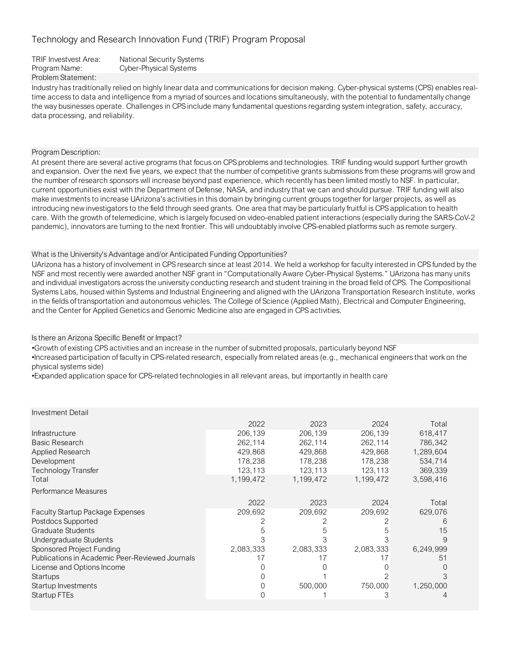Problem Statement: TRIF Investvest Area: National Security Systems Program Name: Cyber-Physical Systems

Industry has traditionally relied on highly linear data and communications for decision making. Cyber-physical systems (CPS) enables realtime access to data and intelligence from a myriad of sources and locations simultaneously, with the potential to fundamentally change the way businesses operate. Challenges in CPS include many fundamental questions regarding system integration, safety, accuracy, data processing, and reliability.

### Program Description:

At present there are several active programs that focus on CPS problems and technologies. TRIF funding would support further growth and expansion. Over the next five years, we expect that the number of competitive grants submissions from these programs will grow and the number of research sponsors will increase beyond past experience, which recently has been limited mostly to NSF. In particular, current opportunities exist with the Department of Defense, NASA, and industry that we can and should pursue. TRIF funding will also make investments to increase UArizona's activities in this domain by bringing current groups together for larger projects, as well as introducing new investigators to the field through seed grants. One area that may be particularly fruitful is CPS application to health care. With the growth of telemedicine, which is largely focused on video-enabled patient interactions (especially during the SARS-CoV-2 pandemic), innovators are turning to the next frontier. This will undoubtably involve CPS-enabled platforms such as remote surgery.

### What is the University's Advantage and/or Anticipated Funding Opportunities?

UArizona has a history of involvement in CPS research since at least 2014. We held a workshop for faculty interested in CPS funded by the NSF and most recently were awarded another NSF grant in "Computationally Aware Cyber-Physical Systems." UArizona has many units and individual investigators across the university conducting research and student training in the broad field of CPS. The Compositional Systems Labs, housed within Systems and Industrial Engineering and aligned with the UArizona Transportation Research Institute, works in the fields of transportation and autonomous vehicles. The College of Science (Applied Math), Electrical and Computer Engineering, and the Center for Applied Genetics and Genomic Medicine also are engaged in CPS activities.

### Is there an Arizona Specific Benefit or Impact?

•Growth of existing CPS activities and an increase in the number of submitted proposals, particularly beyond NSF

•Increased participation of faculty in CPS-related research, especially from related areas (e.g., mechanical engineers that work on the physical systems side)

•Expanded application space for CPS-related technologies in all relevant areas, but importantly in health care

| <b>Investment Detail</b> |
|--------------------------|
|--------------------------|

|                                                 | 2022      | 2023      | 2024      | Total     |
|-------------------------------------------------|-----------|-----------|-----------|-----------|
| Infrastructure                                  | 206,139   | 206,139   | 206,139   | 618,417   |
| <b>Basic Research</b>                           | 262,114   | 262,114   | 262,114   | 786,342   |
| Applied Research                                | 429,868   | 429,868   | 429,868   | 1,289,604 |
| Development                                     | 178,238   | 178,238   | 178,238   | 534.714   |
| Technology Transfer                             | 123,113   | 123,113   | 123,113   | 369,339   |
| Total                                           | 1,199,472 | 1,199,472 | 1,199,472 | 3,598,416 |
| Performance Measures                            |           |           |           |           |
|                                                 | 2022      | 2023      | 2024      | Total     |
| <b>Faculty Startup Package Expenses</b>         | 209,692   | 209.692   | 209,692   | 629,076   |
| Postdocs Supported                              |           |           |           | h         |
| Graduate Students                               | 5         |           |           | 15        |
| Undergraduate Students                          |           |           |           |           |
| Sponsored Project Funding                       | 2,083,333 | 2,083,333 | 2,083,333 | 6,249,999 |
| Publications in Academic Peer-Reviewed Journals |           |           | 17        | 51        |
| License and Options Income                      |           |           |           |           |
| Startups                                        |           |           |           |           |
| Startup Investments                             |           | 500,000   | 750,000   | 1,250,000 |
| Startup FTEs                                    |           |           | З         |           |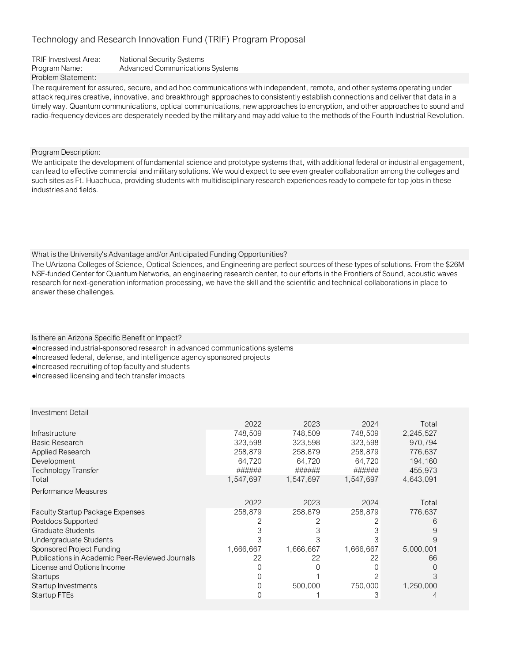## TRIF Investvest Area: National Security Systems Program Name: Advanced Communications Systems Problem Statement:

The requirement for assured, secure, and ad hoc communications with independent, remote, and other systems operating under attack requires creative, innovative, and breakthrough approaches to consistently establish connections and deliver that data in a timely way. Quantum communications, optical communications, new approaches to encryption, and other approaches to sound and radio-frequency devices are desperately needed by the military and may add value to the methods of the Fourth Industrial Revolution.

Program Description:

We anticipate the development of fundamental science and prototype systems that, with additional federal or industrial engagement, can lead to effective commercial and military solutions. We would expect to see even greater collaboration among the colleges and such sites as Ft. Huachuca, providing students with multidisciplinary research experiences ready to compete for top jobs in these industries and fields.

## What is the University's Advantage and/or Anticipated Funding Opportunities?

The UArizona Colleges of Science, Optical Sciences, and Engineering are perfect sources of these types of solutions. From the \$26M NSF-funded Center for Quantum Networks, an engineering research center, to our efforts in the Frontiers of Sound, acoustic waves research for next-generation information processing, we have the skill and the scientific and technical collaborations in place to answer these challenges.

Is there an Arizona Specific Benefit or Impact?

- ●Increased industrial-sponsored research in advanced communications systems
- ●Increased federal, defense, and intelligence agency sponsored projects
- ●Increased recruiting of top faculty and students
- ●Increased licensing and tech transfer impacts

|                                                 | 2022      | 2023      | 2024      | Total     |
|-------------------------------------------------|-----------|-----------|-----------|-----------|
| Infrastructure                                  | 748,509   | 748,509   | 748,509   | 2,245,527 |
| <b>Basic Research</b>                           | 323,598   | 323,598   | 323,598   | 970,794   |
| Applied Research                                | 258,879   | 258,879   | 258,879   | 776,637   |
| Development                                     | 64,720    | 64,720    | 64,720    | 194,160   |
| Technology Transfer                             | ######    | ######    | ######    | 455,973   |
| Total                                           | 1,547,697 | 1,547,697 | 1,547,697 | 4,643,091 |
| Performance Measures                            |           |           |           |           |
|                                                 | 2022      | 2023      | 2024      | Total     |
| <b>Faculty Startup Package Expenses</b>         | 258,879   | 258,879   | 258,879   | 776,637   |
| Postdocs Supported                              |           |           |           | 6         |
| <b>Graduate Students</b>                        |           |           |           | 9         |
| Undergraduate Students                          |           | 3         |           | 9         |
| Sponsored Project Funding                       | 1,666,667 | 1,666,667 | 1,666,667 | 5,000,001 |
| Publications in Academic Peer-Reviewed Journals | 22        | 22        | 22        | 66        |
| License and Options Income                      |           |           |           | 0         |
| Startups                                        |           |           |           | 3         |
| Startup Investments                             |           | 500,000   | 750,000   | 1,250,000 |
| Startup FTEs                                    |           |           | 3         |           |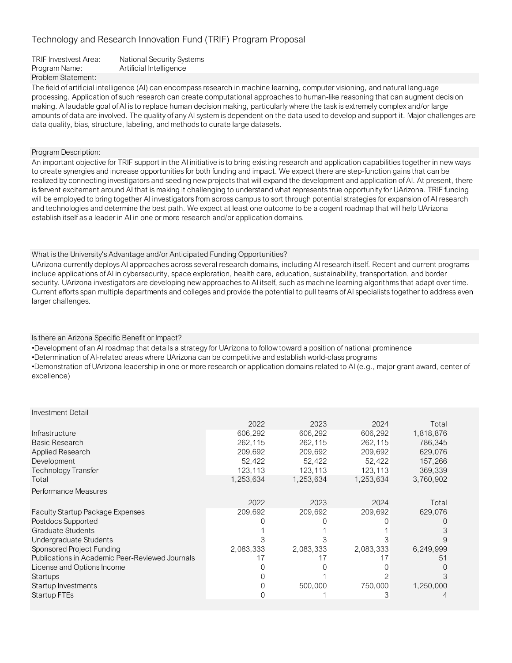| TRIF Investvest Area: | <b>National Security Systems</b> |
|-----------------------|----------------------------------|
| Program Name:         | Artificial Intelligence          |
| Problem Statement:    |                                  |

The field of artificial intelligence (AI) can encompass research in machine learning, computer visioning, and natural language processing. Application of such research can create computational approaches to human-like reasoning that can augment decision making. A laudable goal of AI is to replace human decision making, particularly where the task is extremely complex and/or large amounts of data are involved. The quality of any AI system is dependent on the data used to develop and support it. Major challenges are data quality, bias, structure, labeling, and methods to curate large datasets.

Program Description:

An important objective for TRIF support in the AI initiative is to bring existing research and application capabilities together in new ways to create synergies and increase opportunities for both funding and impact. We expect there are step-function gains that can be realized by connecting investigators and seeding new projects that will expand the development and application of AI. At present, there is fervent excitement around AI that is making it challenging to understand what represents true opportunity for UArizona. TRIF funding will be employed to bring together AI investigators from across campus to sort through potential strategies for expansion of AI research and technologies and determine the best path. We expect at least one outcome to be a cogent roadmap that will help UArizona establish itself as a leader in AI in one or more research and/or application domains.

What is the University's Advantage and/or Anticipated Funding Opportunities?

UArizona currently deploys AI approaches across several research domains, including AI research itself. Recent and current programs include applications of AI in cybersecurity, space exploration, health care, education, sustainability, transportation, and border security. UArizona investigators are developing new approaches to AI itself, such as machine learning algorithms that adapt over time. Current efforts span multiple departments and colleges and provide the potential to pull teams of AI specialists together to address even larger challenges.

Is there an Arizona Specific Benefit or Impact?

•Development of an AI roadmap that details a strategy for UArizona to follow toward a position of national prominence

•Determination of AI-related areas where UArizona can be competitive and establish world-class programs

•Demonstration of UArizona leadership in one or more research or application domains related to AI (e.g., major grant award, center of excellence)

| Investment Detail                               |           |           |           |           |
|-------------------------------------------------|-----------|-----------|-----------|-----------|
|                                                 | 2022      | 2023      | 2024      | Total     |
| Infrastructure                                  | 606,292   | 606,292   | 606,292   | 1,818,876 |
| <b>Basic Research</b>                           | 262,115   | 262,115   | 262,115   | 786,345   |
| <b>Applied Research</b>                         | 209,692   | 209,692   | 209,692   | 629,076   |
| Development                                     | 52,422    | 52,422    | 52,422    | 157,266   |
| <b>Technology Transfer</b>                      | 123,113   | 123,113   | 123,113   | 369,339   |
| Total                                           | 1,253,634 | 1,253,634 | 1,253,634 | 3,760,902 |
| Performance Measures                            |           |           |           |           |
|                                                 | 2022      | 2023      | 2024      | Total     |
| <b>Faculty Startup Package Expenses</b>         | 209,692   | 209,692   | 209,692   | 629,076   |
| Postdocs Supported                              |           |           |           |           |
| <b>Graduate Students</b>                        |           |           |           |           |
| Undergraduate Students                          |           |           |           |           |
| Sponsored Project Funding                       | 2,083,333 | 2,083,333 | 2,083,333 | 6,249,999 |
| Publications in Academic Peer-Reviewed Journals | 17        |           | 17        | 51        |
| License and Options Income                      |           |           |           |           |
| Startups                                        |           |           |           |           |
| Startup Investments                             |           | 500,000   | 750,000   | 1,250,000 |
| Startup FTEs                                    |           |           | З         |           |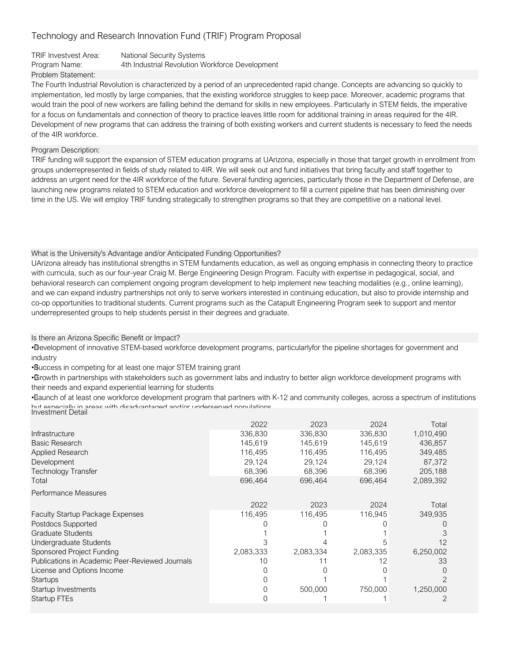### TRIF Investvest Area: National Security Systems Program Name: 4th Industrial Revolution Workforce Development Problem Statement:

The Fourth Industrial Revolution is characterized by a period of an unprecedented rapid change. Concepts are advancing so quickly to implementation, led mostly by large companies, that the existing workforce struggles to keep pace. Moreover, academic programs that would train the pool of new workers are falling behind the demand for skills in new employees. Particularly in STEM fields, the imperative for a focus on fundamentals and connection of theory to practice leaves little room for additional training in areas required for the 4IR. Development of new programs that can address the training of both existing workers and current students is necessary to feed the needs of the 4IR workforce.

## Program Description:

TRIF funding will support the expansion of STEM education programs at UArizona, especially in those that target growth in enrollment from groups underrepresented in fields of study related to 4IR. We will seek out and fund initiatives that bring faculty and staff together to address an urgent need for the 4IR workforce of the future. Several funding agencies, particularly those in the Department of Defense, are launching new programs related to STEM education and workforce development to fill a current pipeline that has been diminishing over time in the US. We will employ TRIF funding strategically to strengthen programs so that they are competitive on a national level.

## What is the University's Advantage and/or Anticipated Funding Opportunities?

UArizona already has institutional strengths in STEM fundaments education, as well as ongoing emphasis in connecting theory to practice with curricula, such as our four-year Craig M. Berge Engineering Design Program. Faculty with expertise in pedagogical, social, and behavioral research can complement ongoing program development to help implement new teaching modalities (e.g., online learning), and we can expand industry partnerships not only to serve workers interested in continuing education, but also to provide internship and co-op opportunities to traditional students. Current programs such as the Catapult Engineering Program seek to support and mentor underrepresented groups to help students persist in their degrees and graduate.

## Is there an Arizona Specific Benefit or Impact?

• Development of innovative STEM-based workforce development programs, particularlyfor the pipeline shortages for government and industry

• Success in competing for at least one major STEM training grant

• Growth in partnerships with stakeholders such as government labs and industry to better align workforce development programs with their needs and expand experiential learning for students

• Launch of at least one workforce development program that partners with K-12 and community colleges, across a spectrum of institutions but especially in areas with disadvantaged and/or underserved populations Investment Detail

| Infrastructure<br>Basic Research<br>Applied Research<br><b>Development</b><br>Technology Transfer<br>Total | 2022<br>336,830<br>145,619<br>116,495<br>29,124<br>68,396<br>696,464 | 2023<br>336,830<br>145,619<br>116,495<br>29,124<br>68,396<br>696,464 | 2024<br>336,830<br>145,619<br>116,495<br>29,124<br>68,396<br>696,464 | Total<br>1,010,490<br>436,857<br>349,485<br>87,372<br>205,188<br>2,089,392 |
|------------------------------------------------------------------------------------------------------------|----------------------------------------------------------------------|----------------------------------------------------------------------|----------------------------------------------------------------------|----------------------------------------------------------------------------|
| Performance Measures                                                                                       |                                                                      |                                                                      |                                                                      |                                                                            |
|                                                                                                            | 2022                                                                 | 2023                                                                 | 2024                                                                 | Total                                                                      |
| <b>Faculty Startup Package Expenses</b>                                                                    | 116,495                                                              | 116,495                                                              | 116,945                                                              | 349,935                                                                    |
| Postdocs Supported                                                                                         |                                                                      |                                                                      |                                                                      |                                                                            |
| Graduate Students                                                                                          |                                                                      |                                                                      |                                                                      |                                                                            |
| Undergraduate Students                                                                                     |                                                                      |                                                                      |                                                                      | 12                                                                         |
| Sponsored Project Funding                                                                                  | 2,083,333                                                            | 2,083,334                                                            | 2,083,335                                                            | 6,250,002                                                                  |
| Publications in Academic Peer-Reviewed Journals                                                            | 10                                                                   |                                                                      | 12                                                                   | 33                                                                         |
| License and Options Income                                                                                 |                                                                      |                                                                      |                                                                      |                                                                            |
| <b>Startups</b>                                                                                            |                                                                      |                                                                      |                                                                      |                                                                            |
| Startup Investments                                                                                        |                                                                      | 500,000                                                              | 750,000                                                              | 1,250,000                                                                  |
| Startup FTEs                                                                                               |                                                                      |                                                                      |                                                                      |                                                                            |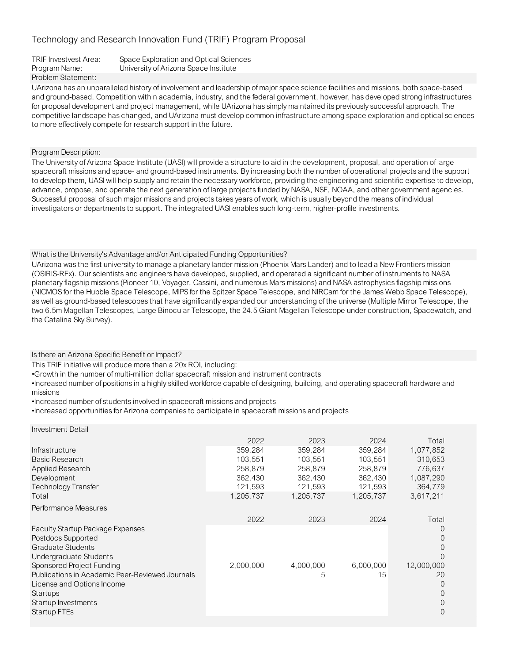| TRIF Investvest Area: | Space Exploration and Optical Sciences |
|-----------------------|----------------------------------------|
| Program Name:         | University of Arizona Space Institute  |
| Problem Statement:    |                                        |

UArizona has an unparalleled history of involvement and leadership of major space science facilities and missions, both space-based and ground-based. Competition within academia, industry, and the federal government, however, has developed strong infrastructures for proposal development and project management, while UArizona has simply maintained its previously successful approach. The competitive landscape has changed, and UArizona must develop common infrastructure among space exploration and optical sciences to more effectively compete for research support in the future.

Program Description:

The University of Arizona Space Institute (UASI) will provide a structure to aid in the development, proposal, and operation of large spacecraft missions and space- and ground-based instruments. By increasing both the number of operational projects and the support to develop them, UASI will help supply and retain the necessary workforce, providing the engineering and scientific expertise to develop, advance, propose, and operate the next generation of large projects funded by NASA, NSF, NOAA, and other government agencies. Successful proposal of such major missions and projects takes years of work, which is usually beyond the means of individual investigators or departments to support. The integrated UASI enables such long-term, higher-profile investments.

### What is the University's Advantage and/or Anticipated Funding Opportunities?

UArizona was the first university to manage a planetary lander mission (Phoenix Mars Lander) and to lead a New Frontiers mission (OSIRIS-REx). Our scientists and engineers have developed, supplied, and operated a significant number of instruments to NASA planetary flagship missions (Pioneer 10, Voyager, Cassini, and numerous Mars missions) and NASA astrophysics flagship missions (NICMOS for the Hubble Space Telescope, MIPS for the Spitzer Space Telescope, and NIRCam for the James Webb Space Telescope), as well as ground-based telescopes that have significantly expanded our understanding of the universe (Multiple Mirror Telescope, the two 6.5m Magellan Telescopes, Large Binocular Telescope, the 24.5 Giant Magellan Telescope under construction, Spacewatch, and the Catalina Sky Survey).

Is there an Arizona Specific Benefit or Impact?

This TRIF initiative will produce more than a 20x ROI, including:

•Growth in the number of multi-million dollar spacecraft mission and instrument contracts

•Increased number of positions in a highly skilled workforce capable of designing, building, and operating spacecraft hardware and missions

•Increased number of students involved in spacecraft missions and projects

•Increased opportunities for Arizona companies to participate in spacecraft missions and projects

| Investment Detail                               |           |           |           |                  |
|-------------------------------------------------|-----------|-----------|-----------|------------------|
|                                                 | 2022      | 2023      | 2024      | Total            |
| Infrastructure                                  | 359,284   | 359,284   | 359,284   | 1,077,852        |
| <b>Basic Research</b>                           | 103,551   | 103,551   | 103,551   | 310,653          |
| Applied Research                                | 258,879   | 258,879   | 258,879   | 776,637          |
| Development                                     | 362,430   | 362,430   | 362,430   | 1,087,290        |
| Technology Transfer                             | 121,593   | 121,593   | 121,593   | 364,779          |
| Total                                           | 1,205,737 | 1,205,737 | 1,205,737 | 3,617,211        |
| Performance Measures                            |           |           |           |                  |
|                                                 | 2022      | 2023      | 2024      | Total            |
| <b>Faculty Startup Package Expenses</b>         |           |           |           |                  |
| Postdocs Supported                              |           |           |           |                  |
| <b>Graduate Students</b>                        |           |           |           | $\left( \right)$ |
| Undergraduate Students                          |           |           |           |                  |
| Sponsored Project Funding                       | 2,000,000 | 4,000,000 | 6,000,000 | 12,000,000       |
| Publications in Academic Peer-Reviewed Journals |           | 5         | 15        | 20               |
| License and Options Income                      |           |           |           | $\left( \right)$ |
| Startups                                        |           |           |           |                  |
| Startup Investments                             |           |           |           |                  |
| Startup FTEs                                    |           |           |           | 0                |
|                                                 |           |           |           |                  |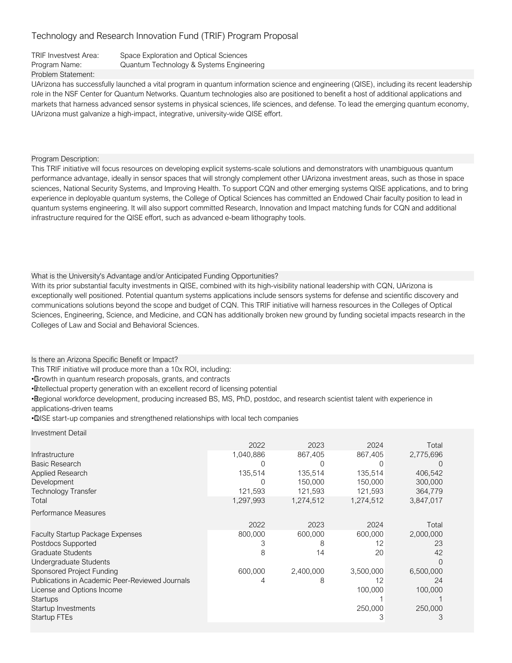Problem Statement: TRIF Investvest Area: Space Exploration and Optical Sciences Program Name: Quantum Technology & Systems Engineering

UArizona has successfully launched a vital program in quantum information science and engineering (QISE), including its recent leadership role in the NSF Center for Quantum Networks. Quantum technologies also are positioned to benefit a host of additional applications and markets that harness advanced sensor systems in physical sciences, life sciences, and defense. To lead the emerging quantum economy, UArizona must galvanize a high-impact, integrative, university-wide QISE effort.

Program Description:

This TRIF initiative will focus resources on developing explicit systems-scale solutions and demonstrators with unambiguous quantum performance advantage, ideally in sensor spaces that will strongly complement other UArizona investment areas, such as those in space sciences, National Security Systems, and Improving Health. To support CQN and other emerging systems QISE applications, and to bring experience in deployable quantum systems, the College of Optical Sciences has committed an Endowed Chair faculty position to lead in quantum systems engineering. It will also support committed Research, Innovation and Impact matching funds for CQN and additional infrastructure required for the QISE effort, such as advanced e-beam lithography tools.

What is the University's Advantage and/or Anticipated Funding Opportunities?

With its prior substantial faculty investments in QISE, combined with its high-visibility national leadership with CQN, UArizona is exceptionally well positioned. Potential quantum systems applications include sensors systems for defense and scientific discovery and communications solutions beyond the scope and budget of CQN. This TRIF initiative will harness resources in the Colleges of Optical Sciences, Engineering, Science, and Medicine, and CQN has additionally broken new ground by funding societal impacts research in the Colleges of Law and Social and Behavioral Sciences.

Is there an Arizona Specific Benefit or Impact?

This TRIF initiative will produce more than a 10x ROI, including:

• Growth in quantum research proposals, grants, and contracts

• Intellectual property generation with an excellent record of licensing potential

• Regional workforce development, producing increased BS, MS, PhD, postdoc, and research scientist talent with experience in applications-driven teams

• QISE start-up companies and strengthened relationships with local tech companies

Technology Transfer 121,593 121,593 121,593 121,593 121,593 Faculty Startup Package Expenses Postdocs Supported Graduate Students Undergraduate Students Sponsored Project Funding Publications in Academic Peer-Reviewed Journals License and Options Income **Startups** Startup Investments Startup FTEs 100,000 2,000,000 23 3,847,017 42  $\theta$ 6,500,000 24 Investment Detail 2,775,696 2023 867,405 2022 1,040,886 2024 Infrastructure 867,405 and 867,405 and 867,405 and 867,405 and 867,405 and 867,405 and 867,405 and 867,405 and 867,405 and 867,405 and 867,405 and 867,405 and 867,405 and 867,405 and 867,405 and 867,405 and 867,405 and 867 Total 600,000 100,000 1 4 8 12 2024 1 600,000 2,400,000 3,500,000 3 8 12 8 14 20 800,000 600,000 250,000 3 250,000 3 2022 2023 Performance Measures 406,542 300,000 Total 135,514 135,514  $\Omega$ Total 1,297,993 1,274,512 1,274,512  $\Omega$ 135,514 150,000  $\Omega$ 364,779 Basic Research 0 Applied Research Development 150,000 150,000 150,000 150,000 150,000 150,000 150,000 150,000 150,000 150,000 150,000 150,000 150  $\Omega$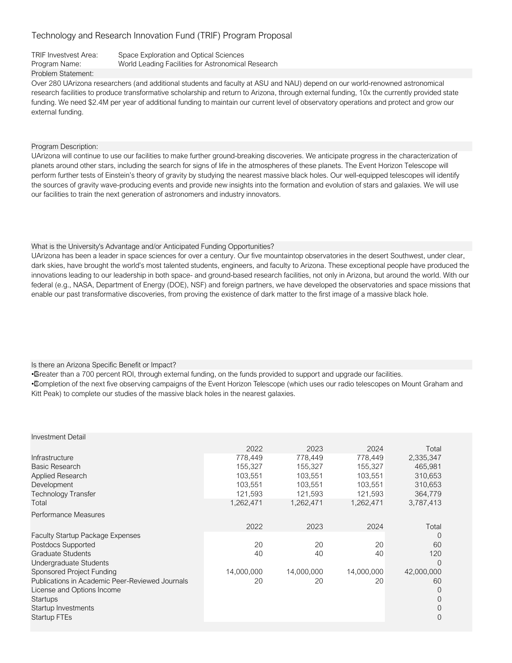TRIF Investvest Area: Space Exploration and Optical Sciences Program Name: World Leading Facilities for Astronomical Research

Problem Statement:

Over 280 UArizona researchers (and additional students and faculty at ASU and NAU) depend on our world-renowned astronomical research facilities to produce transformative scholarship and return to Arizona, through external funding, 10x the currently provided state funding. We need \$2.4M per year of additional funding to maintain our current level of observatory operations and protect and grow our external funding.

Program Description:

UArizona will continue to use our facilities to make further ground-breaking discoveries. We anticipate progress in the characterization of planets around other stars, including the search for signs of life in the atmospheres of these planets. The Event Horizon Telescope will perform further tests of Einstein's theory of gravity by studying the nearest massive black holes. Our well-equipped telescopes will identify the sources of gravity wave-producing events and provide new insights into the formation and evolution of stars and galaxies. We will use our facilities to train the next generation of astronomers and industry innovators.

#### What is the University's Advantage and/or Anticipated Funding Opportunities?

UArizona has been a leader in space sciences for over a century. Our five mountaintop observatories in the desert Southwest, under clear, dark skies, have brought the world's most talented students, engineers, and faculty to Arizona. These exceptional people have produced the innovations leading to our leadership in both space- and ground-based research facilities, not only in Arizona, but around the world. With our federal (e.g., NASA, Department of Energy (DOE), NSF) and foreign partners, we have developed the observatories and space missions that enable our past transformative discoveries, from proving the existence of dark matter to the first image of a massive black hole.

## Is there an Arizona Specific Benefit or Impact?

• Greater than a 700 percent ROI, through external funding, on the funds provided to support and upgrade our facilities.

• Completion of the next five observing campaigns of the Event Horizon Telescope (which uses our radio telescopes on Mount Graham and Kitt Peak) to complete our studies of the massive black holes in the nearest galaxies.

| <b>Investment Detail</b>                        |            |            |            |            |
|-------------------------------------------------|------------|------------|------------|------------|
|                                                 | 2022       | 2023       | 2024       | Total      |
| Infrastructure                                  | 778,449    | 778,449    | 778,449    | 2,335,347  |
| Basic Research                                  | 155,327    | 155,327    | 155,327    | 465,981    |
| <b>Applied Research</b>                         | 103,551    | 103,551    | 103,551    | 310,653    |
| Development                                     | 103,551    | 103,551    | 103,551    | 310,653    |
| Technology Transfer                             | 121,593    | 121,593    | 121,593    | 364,779    |
| Total                                           | 1,262,471  | 1,262,471  | 1,262,471  | 3,787,413  |
| Performance Measures                            |            |            |            |            |
|                                                 | 2022       | 2023       | 2024       | Total      |
| <b>Faculty Startup Package Expenses</b>         |            |            |            | $\Omega$   |
| Postdocs Supported                              | 20         | 20         | 20         | 60         |
| <b>Graduate Students</b>                        | 40         | 40         | 40         | 120        |
| Undergraduate Students                          |            |            |            | 0          |
| Sponsored Project Funding                       | 14,000,000 | 14,000,000 | 14,000,000 | 42,000,000 |
| Publications in Academic Peer-Reviewed Journals | 20         | 20         | 20         | 60         |
| License and Options Income                      |            |            |            | 0          |
| Startups                                        |            |            |            | 0          |
| Startup Investments                             |            |            |            | 0          |
| Startup FTEs                                    |            |            |            | 0          |
|                                                 |            |            |            |            |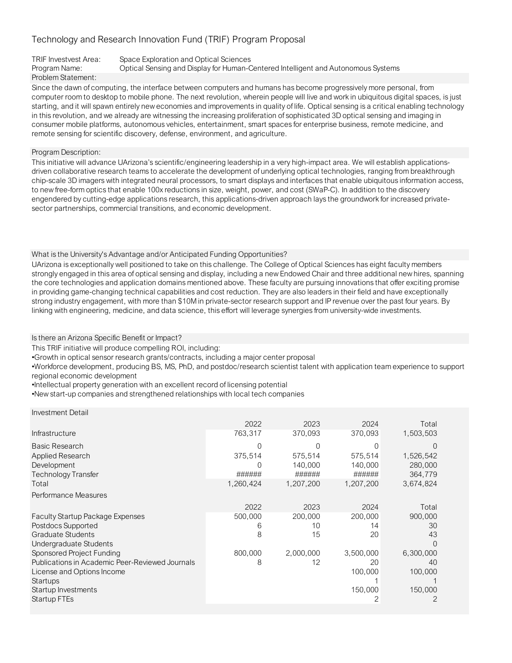## TRIF Investvest Area: Space Exploration and Optical Sciences Program Name: Optical Sensing and Display for Human-Centered Intelligent and Autonomous Systems Problem Statement:

Since the dawn of computing, the interface between computers and humans has become progressively more personal, from computer room to desktop to mobile phone. The next revolution, wherein people will live and work in ubiquitous digital spaces, is just starting, and it will spawn entirely new economies and improvements in quality of life. Optical sensing is a critical enabling technology in this revolution, and we already are witnessing the increasing proliferation of sophisticated 3D optical sensing and imaging in consumer mobile platforms, autonomous vehicles, entertainment, smart spaces for enterprise business, remote medicine, and remote sensing for scientific discovery, defense, environment, and agriculture.

Program Description:

This initiative will advance UArizona's scientific/engineering leadership in a very high-impact area. We will establish applicationsdriven collaborative research teams to accelerate the development of underlying optical technologies, ranging from breakthrough chip-scale 3D imagers with integrated neural processors, to smart displays and interfaces that enable ubiquitous information access, to new free-form optics that enable 100x reductions in size, weight, power, and cost (SWaP-C). In addition to the discovery engendered by cutting-edge applications research, this applications-driven approach lays the groundwork for increased privatesector partnerships, commercial transitions, and economic development.

## What is the University's Advantage and/or Anticipated Funding Opportunities?

UArizona is exceptionally well positioned to take on this challenge. The College of Optical Sciences has eight faculty members strongly engaged in this area of optical sensing and display, including a new Endowed Chair and three additional new hires, spanning the core technologies and application domains mentioned above. These faculty are pursuing innovations that offer exciting promise in providing game-changing technical capabilities and cost reduction. They are also leaders in their field and have exceptionally strong industry engagement, with more than \$10M in private-sector research support and IP revenue over the past four years. By linking with engineering, medicine, and data science, this effort will leverage synergies from university-wide investments.

Is there an Arizona Specific Benefit or Impact?

This TRIF initiative will produce compelling ROI, including:

•Growth in optical sensor research grants/contracts, including a major center proposal

•Workforce development, producing BS, MS, PhD, and postdoc/research scientist talent with application team experience to support regional economic development

•Intellectual property generation with an excellent record of licensing potential

•New start-up companies and strengthened relationships with local tech companies

|                                                 | 2022      | 2023      | 2024      | Total     |
|-------------------------------------------------|-----------|-----------|-----------|-----------|
| <b>Infrastructure</b>                           | 763,317   | 370,093   | 370,093   | 1,503,503 |
| Basic Research                                  |           |           |           |           |
| Applied Research                                | 375,514   | 575,514   | 575,514   | 1,526,542 |
| Development                                     |           | 140,000   | 140,000   | 280,000   |
| <b>Technology Transfer</b>                      | ######    | ######    | ######    | 364,779   |
| Total                                           | 1,260,424 | 1,207,200 | 1,207,200 | 3,674,824 |
| Performance Measures                            |           |           |           |           |
|                                                 | 2022      | 2023      | 2024      | Total     |
| <b>Faculty Startup Package Expenses</b>         | 500,000   | 200,000   | 200,000   | 900,000   |
| Postdocs Supported                              | 6         | 10        | 14        | 30        |
| <b>Graduate Students</b>                        | 8         | 15        | 20        | 43        |
| Undergraduate Students                          |           |           |           |           |
| Sponsored Project Funding                       | 800,000   | 2,000,000 | 3,500,000 | 6,300,000 |
| Publications in Academic Peer-Reviewed Journals | 8         | 12        | 20        | 40        |
| License and Options Income                      |           |           | 100,000   | 100,000   |
| Startups                                        |           |           |           |           |
| Startup Investments                             |           |           | 150,000   | 150,000   |
| Startup FTEs                                    |           |           | 2         | 2         |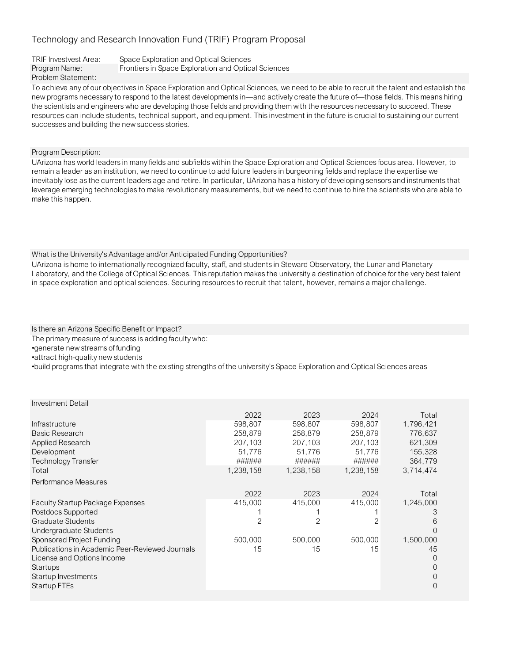| TRIF Investvest Area: | Space Exploration and Optical Sciences              |
|-----------------------|-----------------------------------------------------|
| Program Name:         | Frontiers in Space Exploration and Optical Sciences |
| Problem Statement:    |                                                     |

To achieve any of our objectives in Space Exploration and Optical Sciences, we need to be able to recruit the talent and establish the new programs necessary to respond to the latest developments in—and actively create the future of—those fields. This means hiring the scientists and engineers who are developing those fields and providing them with the resources necessary to succeed. These resources can include students, technical support, and equipment. This investment in the future is crucial to sustaining our current successes and building the new success stories.

Program Description:

UArizona has world leaders in many fields and subfields within the Space Exploration and Optical Sciences focus area. However, to remain a leader as an institution, we need to continue to add future leaders in burgeoning fields and replace the expertise we inevitably lose as the current leaders age and retire. In particular, UArizona has a history of developing sensors and instruments that leverage emerging technologies to make revolutionary measurements, but we need to continue to hire the scientists who are able to make this happen.

What is the University's Advantage and/or Anticipated Funding Opportunities?

UArizona is home to internationally recognized faculty, staff, and students in Steward Observatory, the Lunar and Planetary Laboratory, and the College of Optical Sciences. This reputation makes the university a destination of choice for the very best talent in space exploration and optical sciences. Securing resources to recruit that talent, however, remains a major challenge.

Is there an Arizona Specific Benefit or Impact?

The primary measure of success is adding faculty who:

•generate new streams of funding •attract high-quality new students

•build programs that integrate with the existing strengths of the university's Space Exploration and Optical Sciences areas

| <b>Investment Detail</b> |  |
|--------------------------|--|
|--------------------------|--|

|                                                 | 2022      | 2023      | 2024      | Total     |
|-------------------------------------------------|-----------|-----------|-----------|-----------|
| <b>Infrastructure</b>                           | 598,807   | 598,807   | 598,807   | 1,796,421 |
| <b>Basic Research</b>                           | 258,879   | 258,879   | 258,879   | 776,637   |
| Applied Research                                | 207,103   | 207,103   | 207,103   | 621,309   |
| Development                                     | 51,776    | 51,776    | 51,776    | 155,328   |
| Technology Transfer                             | ######    | ######    | ######    | 364,779   |
| Total                                           | 1,238,158 | 1,238,158 | 1,238,158 | 3,714,474 |
| Performance Measures                            |           |           |           |           |
|                                                 | 2022      | 2023      | 2024      | Total     |
| <b>Faculty Startup Package Expenses</b>         | 415,000   | 415,000   | 415,000   | 1,245,000 |
| Postdocs Supported                              |           |           |           | З         |
| <b>Graduate Students</b>                        | 2         | 2         | 2         | 6         |
| Undergraduate Students                          |           |           |           | $\Omega$  |
| Sponsored Project Funding                       | 500,000   | 500,000   | 500,000   | 1,500,000 |
| Publications in Academic Peer-Reviewed Journals | 15        | 15        | 15        | 45        |
| License and Options Income                      |           |           |           | $\Omega$  |
| Startups                                        |           |           |           | $\Omega$  |
| Startup Investments                             |           |           |           | $\Omega$  |
| <b>Startup FTEs</b>                             |           |           |           | $\Omega$  |
|                                                 |           |           |           |           |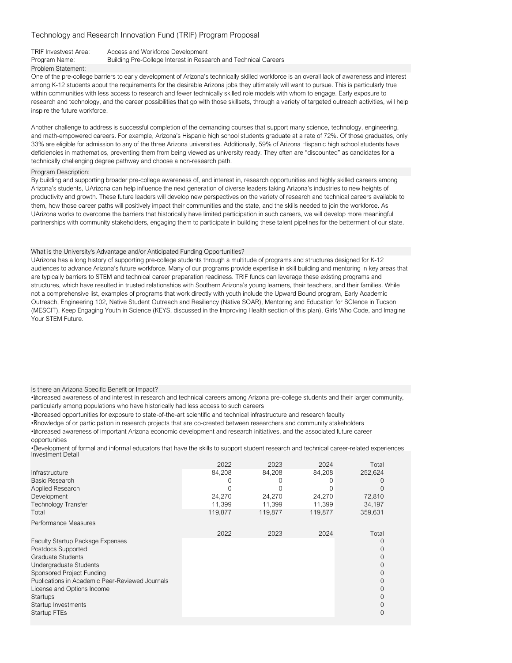TRIF Investvest Area: Access and Workforce Development

Problem Statement:

Program Name: Building Pre-College Interest in Research and Technical Careers

One of the pre-college barriers to early development of Arizona's technically skilled workforce is an overall lack of awareness and interest among K-12 students about the requirements for the desirable Arizona jobs they ultimately will want to pursue. This is particularly true within communities with less access to research and fewer technically skilled role models with whom to engage. Early exposure to research and technology, and the career possibilities that go with those skillsets, through a variety of targeted outreach activities, will help inspire the future workforce.

Another challenge to address is successful completion of the demanding courses that support many science, technology, engineering, and math-empowered careers. For example, Arizona's Hispanic high school students graduate at a rate of 72%. Of those graduates, only 33% are eligible for admission to any of the three Arizona universities. Additionally, 59% of Arizona Hispanic high school students have deficiencies in mathematics, preventing them from being viewed as university ready. They often are "discounted" as candidates for a technically challenging degree pathway and choose a non-research path.

#### Program Description:

By building and supporting broader pre-college awareness of, and interest in, research opportunities and highly skilled careers among Arizona's students, UArizona can help influence the next generation of diverse leaders taking Arizona's industries to new heights of productivity and growth. These future leaders will develop new perspectives on the variety of research and technical careers available to them, how those career paths will positively impact their communities and the state, and the skills needed to join the workforce. As UArizona works to overcome the barriers that historically have limited participation in such careers, we will develop more meaningful partnerships with community stakeholders, engaging them to participate in building these talent pipelines for the betterment of our state.

#### What is the University's Advantage and/or Anticipated Funding Opportunities?

UArizona has a long history of supporting pre-college students through a multitude of programs and structures designed for K-12 audiences to advance Arizona's future workforce. Many of our programs provide expertise in skill building and mentoring in key areas that are typically barriers to STEM and technical career preparation readiness. TRIF funds can leverage these existing programs and structures, which have resulted in trusted relationships with Southern Arizona's young learners, their teachers, and their families. While not a comprehensive list, examples of programs that work directly with youth include the Upward Bound program, Early Academic Outreach, Engineering 102, Native Student Outreach and Resiliency (Native SOAR), Mentoring and Education for SCIence in Tucson (MESCIT), Keep Engaging Youth in Science (KEYS, discussed in the Improving Health section of this plan), Girls Who Code, and Imagine Your STEM Future.

Is there an Arizona Specific Benefit or Impact?

• Increased awareness of and interest in research and technical careers among Arizona pre-college students and their larger community, particularly among populations who have historically had less access to such careers

• Increased opportunities for exposure to state-of-the-art scientific and technical infrastructure and research faculty

• Knowledge of or participation in research projects that are co-created between researchers and community stakeholders • Increased awareness of important Arizona economic development and research initiatives, and the associated future career opportunities

• Development of formal and informal educators that have the skills to support student research and technical career-related experiences Investment Detail

| Infrastructure<br><b>Basic Research</b><br>Applied Research<br>Development<br><b>Technology Transfer</b><br>Total                                                                                                                                                                           | 2022<br>84,208<br>24,270<br>11,399<br>119,877 | 2023<br>84,208<br>24,270<br>11,399<br>119,877 | 2024<br>84,208<br>24,270<br>11,399<br>119,877 | Total<br>252,624<br>72,810<br>34,197<br>359,631                              |
|---------------------------------------------------------------------------------------------------------------------------------------------------------------------------------------------------------------------------------------------------------------------------------------------|-----------------------------------------------|-----------------------------------------------|-----------------------------------------------|------------------------------------------------------------------------------|
| Performance Measures                                                                                                                                                                                                                                                                        | 2022                                          | 2023                                          | 2024                                          | Total                                                                        |
| <b>Faculty Startup Package Expenses</b><br>Postdocs Supported<br><b>Graduate Students</b><br>Undergraduate Students<br>Sponsored Project Funding<br>Publications in Academic Peer-Reviewed Journals<br>License and Options Income<br><b>Startups</b><br>Startup Investments<br>Startup FTEs |                                               |                                               |                                               | $\left($<br>0<br>0<br>$\Omega$<br>$\Omega$<br>0<br>$\Omega$<br>0<br>$\Omega$ |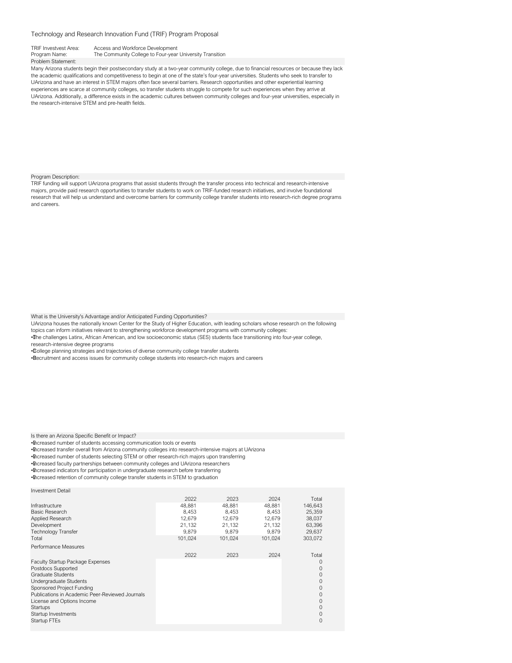TRIF Investvest Area: Access and Workforce Development<br>Program Name: The Community College to Four-year The Community College to Four-year University Transition Problem Statement:

Many Arizona students begin their postsecondary study at a two-year community college, due to financial resources or because they lack the academic qualifications and competitiveness to begin at one of the state's four-year universities. Students who seek to transfer to UArizona and have an interest in STEM majors often face several barriers. Research opportunities and other experiential learning experiences are scarce at community colleges, so transfer students struggle to compete for such experiences when they arrive at UArizona. Additionally, a difference exists in the academic cultures between community colleges and four-year universities, especially in the research-intensive STEM and pre-health fields.

#### Program Description:

TRIF funding will support UArizona programs that assist students through the transfer process into technical and research-intensive majors, provide paid research opportunities to transfer students to work on TRIF-funded research initiatives, and involve foundational research that will help us understand and overcome barriers for community college transfer students into research-rich degree programs and careers.

What is the University's Advantage and/or Anticipated Funding Opportunities?

UArizona houses the nationally known Center for the Study of Higher Education, with leading scholars whose research on the following topics can inform initiatives relevant to strengthening workforce development programs with community colleges:

• The challenges Latinx, African American, and low socioeconomic status (SES) students face transitioning into four-year college,

research-intensive degree programs

• College planning strategies and trajectories of diverse community college transfer students

• Recruitment and access issues for community college students into research-rich majors and careers

Is there an Arizona Specific Benefit or Impact?

Investment Detail

• Increased number of students accessing communication tools or events

• Increased transfer overall from Arizona community colleges into research-intensive majors at UArizona

• Increased number of students selecting STEM or other research-rich majors upon transferring

• Increased faculty partnerships between community colleges and UArizona researchers

• Increased indicators for participation in undergraduate research before transferring

• Increased retention of community college transfer students in STEM to graduation

| 2022    | 2023    | 2024    | Total   |
|---------|---------|---------|---------|
| 48.881  | 48.881  | 48.881  | 146.643 |
| 8.453   | 8.453   | 8.453   | 25,359  |
| 12.679  | 12.679  | 12.679  | 38,037  |
| 21,132  | 21,132  | 21.132  | 63,396  |
| 9,879   | 9.879   | 9,879   | 29,637  |
| 101,024 | 101,024 | 101,024 | 303,072 |
|         |         |         |         |
| 2022    | 2023    | 2024    | Total   |
|         |         |         | O       |
|         |         |         |         |
|         |         |         |         |
|         |         |         |         |
|         |         |         |         |
|         |         |         |         |
|         |         |         |         |
|         |         |         |         |
|         |         |         | 0       |
|         |         |         | 0       |
|         |         |         |         |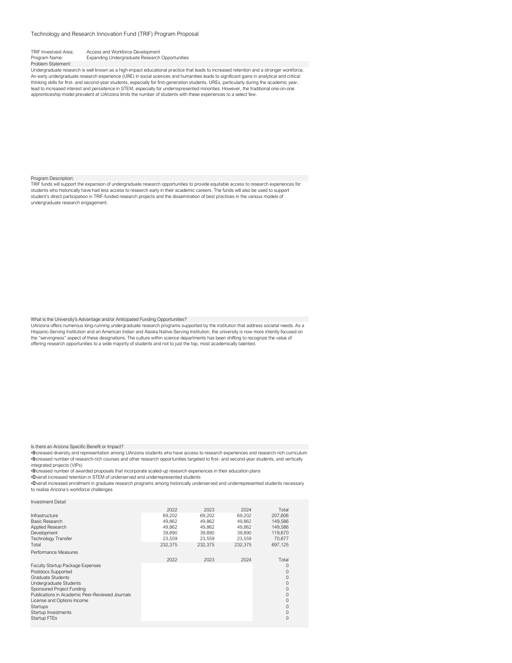| <b>TRIF Investvest Area:</b> | Access and Workforce Development                                                        |
|------------------------------|-----------------------------------------------------------------------------------------|
| Program Name:                | Expanding Undergraduate Research                                                        |
| Problem Statement:           |                                                                                         |
|                              | والمستحدثات فالمستحدث والتاليا والمتحدث وبالمسار المديدية والمستحدث والمستحدث والمستحدث |

cational practice that leads to increased retention and a stronger workforce. An early undergraduate research experience (URE) in social sciences and humanities leads to significant gains in analytical and critical thinking skills for first- and second-year students, especially for first-generation students. UREs, particularly during the academic year, lead to increased interest and persistence in STEM, especially for underrepresented minorities. However, the traditional one-on-one apprenticeship model prevalent at UArizona limits the number of students with these experiences to a select few.

**Opportunities** 

Program Description: TRIF funds will support the expansion of undergraduate research opportunities to provide equitable access to research experiences for students who historically have had less access to research early in their academic careers. The funds will also be used to support student's direct participation in TRIF-funded research projects and the dissemination of best practices in the various models of undergraduate research engagement.

What is the University's Advantage and/or Anticipated Funding Opportunities?<br>UArizona offers numerous long-running undergraduate research programs supported by the institution that address societal needs. As a Hispanic-Serving Institution and an American Indian and Alaska Native-Serving Institution, the university is now more intently focused on the "servingness" aspect of these designations. The culture within science departments has been shifting to recognize the value of offering research opportunities to a wide majority of students and not to just the top, most academically talented.

Is there an Arizona Specific Benefit or Impact?

• Increased diversity and representation among UArizona students who have access to research experiences and research-rich curriculum • Increased number of research-rich courses and other research opportunities targeted to first- and second-year students, and vertically integrated projects (VIPs)

• Increased number of awarded proposals that incorporate scaled-up research experiences in their education plans

• Overall increased retention in STEM of underserved and underrepresented students

• Overall increased enrollment in graduate research programs among historically underserved and underrepresented students necessary to realize Arizona's workforce challenges

| Infrastructure<br>Basic Research<br>Applied Research<br>Development<br><b>Technology Transfer</b><br>Total                                                                                                                                                                                     | 2022<br>69.202<br>49.862<br>49.862<br>39.890<br>23.559<br>232.375 | 2023<br>69.202<br>49.862<br>49.862<br>39.890<br>23.559<br>232.375 | 2024<br>69.202<br>49.862<br>49.862<br>39.890<br>23.559<br>232.375 | Total<br>207,606<br>149.586<br>149.586<br>119,670<br>70.677<br>697.125 |
|------------------------------------------------------------------------------------------------------------------------------------------------------------------------------------------------------------------------------------------------------------------------------------------------|-------------------------------------------------------------------|-------------------------------------------------------------------|-------------------------------------------------------------------|------------------------------------------------------------------------|
| Performance Measures<br>Faculty Startup Package Expenses<br>Postdocs Supported<br>Graduate Students<br>Undergraduate Students<br>Sponsored Project Funding<br>Publications in Academic Peer-Reviewed Journals<br>License and Options Income<br>Startups<br>Startup Investments<br>Startup FTEs | 2022                                                              | 2023                                                              | 2024                                                              | Total<br>0<br>0<br>0<br>0<br>0<br>0<br>0<br>0<br>0<br>0                |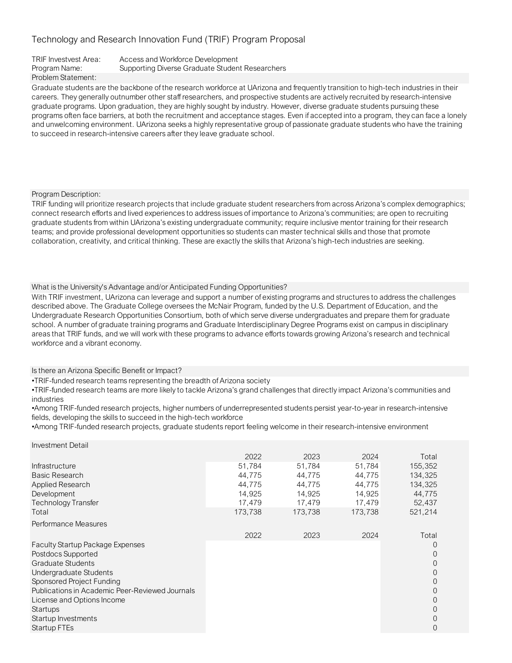### TRIF Investvest Area: Access and Workforce Development

Program Name: Supporting Diverse Graduate Student Researchers

## Problem Statement:

Graduate students are the backbone of the research workforce at UArizona and frequently transition to high-tech industries in their careers. They generally outnumber other staff researchers, and prospective students are actively recruited by research-intensive graduate programs. Upon graduation, they are highly sought by industry. However, diverse graduate students pursuing these programs often face barriers, at both the recruitment and acceptance stages. Even if accepted into a program, they can face a lonely and unwelcoming environment. UArizona seeks a highly representative group of passionate graduate students who have the training to succeed in research-intensive careers after they leave graduate school.

## Program Description:

TRIF funding will prioritize research projects that include graduate student researchers from across Arizona's complex demographics; connect research efforts and lived experiences to address issues of importance to Arizona's communities; are open to recruiting graduate students from within UArizona's existing undergraduate community; require inclusive mentor training for their research teams; and provide professional development opportunities so students can master technical skills and those that promote collaboration, creativity, and critical thinking. These are exactly the skills that Arizona's high-tech industries are seeking.

## What is the University's Advantage and/or Anticipated Funding Opportunities?

With TRIF investment, UArizona can leverage and support a number of existing programs and structures to address the challenges described above. The Graduate College oversees the McNair Program, funded by the U.S. Department of Education, and the Undergraduate Research Opportunities Consortium, both of which serve diverse undergraduates and prepare them for graduate school. A number of graduate training programs and Graduate Interdisciplinary Degree Programs exist on campus in disciplinary areas that TRIF funds, and we will work with these programs to advance efforts towards growing Arizona's research and technical workforce and a vibrant economy.

## Is there an Arizona Specific Benefit or Impact?

•TRIF-funded research teams representing the breadth of Arizona society

•TRIF-funded research teams are more likely to tackle Arizona's grand challenges that directly impact Arizona's communities and industries

•Among TRIF-funded research projects, higher numbers of underrepresented students persist year-to-year in research-intensive fields, developing the skills to succeed in the high-tech workforce

•Among TRIF-funded research projects, graduate students report feeling welcome in their research-intensive environment

| Investment Detail                               |         |         |         |          |
|-------------------------------------------------|---------|---------|---------|----------|
|                                                 | 2022    | 2023    | 2024    | Total    |
| Infrastructure                                  | 51,784  | 51,784  | 51,784  | 155,352  |
| <b>Basic Research</b>                           | 44,775  | 44,775  | 44,775  | 134.325  |
| Applied Research                                | 44,775  | 44,775  | 44,775  | 134,325  |
| Development                                     | 14,925  | 14,925  | 14,925  | 44,775   |
| Technology Transfer                             | 17,479  | 17,479  | 17,479  | 52,437   |
| Total                                           | 173,738 | 173,738 | 173,738 | 521,214  |
| Performance Measures                            |         |         |         |          |
|                                                 | 2022    | 2023    | 2024    | Total    |
| <b>Faculty Startup Package Expenses</b>         |         |         |         | $\left($ |
| Postdocs Supported                              |         |         |         | $\Omega$ |
| Graduate Students                               |         |         |         | $\Omega$ |
| Undergraduate Students                          |         |         |         | $\Omega$ |
| Sponsored Project Funding                       |         |         |         | $\Omega$ |
| Publications in Academic Peer-Reviewed Journals |         |         |         | $\Omega$ |
| License and Options Income                      |         |         |         | $\Omega$ |
| Startups                                        |         |         |         | $\Omega$ |
| Startup Investments                             |         |         |         | 0        |
| Startup FTEs                                    |         |         |         | $\Omega$ |